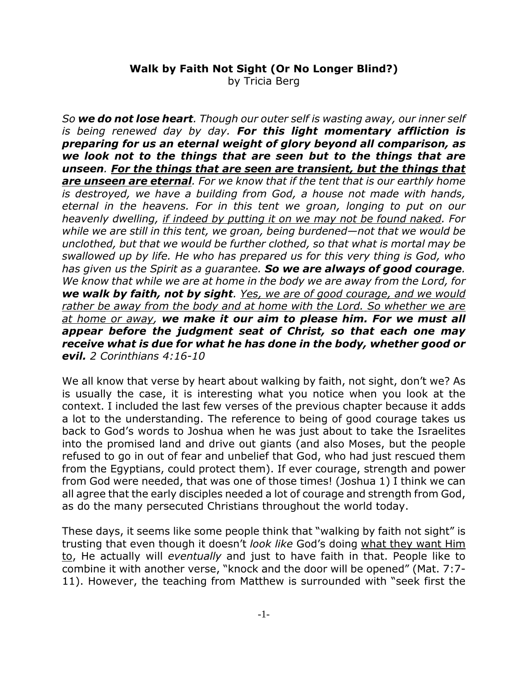#### **Walk by Faith Not Sight (Or No Longer Blind?)** by Tricia Berg

*So we do not lose heart. Though our outer self is wasting away, our inner self is being renewed day by day. For this light momentary affliction is preparing for us an eternal weight of glory beyond all comparison, as we look not to the things that are seen but to the things that are unseen. For the things that are seen are transient, but the things that are unseen are eternal. For we know that if the tent that is our earthly home is destroyed, we have a building from God, a house not made with hands, eternal in the heavens. For in this tent we groan, longing to put on our heavenly dwelling, if indeed by putting it on we may not be found naked. For while we are still in this tent, we groan, being burdened—not that we would be unclothed, but that we would be further clothed, so that what is mortal may be swallowed up by life. He who has prepared us for this very thing is God, who has given us the Spirit as a guarantee. So we are always of good courage. We know that while we are at home in the body we are away from the Lord, for we walk by faith, not by sight. Yes, we are of good courage, and we would rather be away from the body and at home with the Lord. So whether we are at home or away, we make it our aim to please him. For we must all appear before the judgment seat of Christ, so that each one may receive what is due for what he has done in the body, whether good or evil. 2 Corinthians 4:16-10*

We all know that verse by heart about walking by faith, not sight, don't we? As is usually the case, it is interesting what you notice when you look at the context. I included the last few verses of the previous chapter because it adds a lot to the understanding. The reference to being of good courage takes us back to God's words to Joshua when he was just about to take the Israelites into the promised land and drive out giants (and also Moses, but the people refused to go in out of fear and unbelief that God, who had just rescued them from the Egyptians, could protect them). If ever courage, strength and power from God were needed, that was one of those times! (Joshua 1) I think we can all agree that the early disciples needed a lot of courage and strength from God, as do the many persecuted Christians throughout the world today.

These days, it seems like some people think that "walking by faith not sight" is trusting that even though it doesn't *look like* God's doing what they want Him to, He actually will *eventually* and just to have faith in that. People like to combine it with another verse, "knock and the door will be opened" (Mat. 7:7- 11). However, the teaching from Matthew is surrounded with "seek first the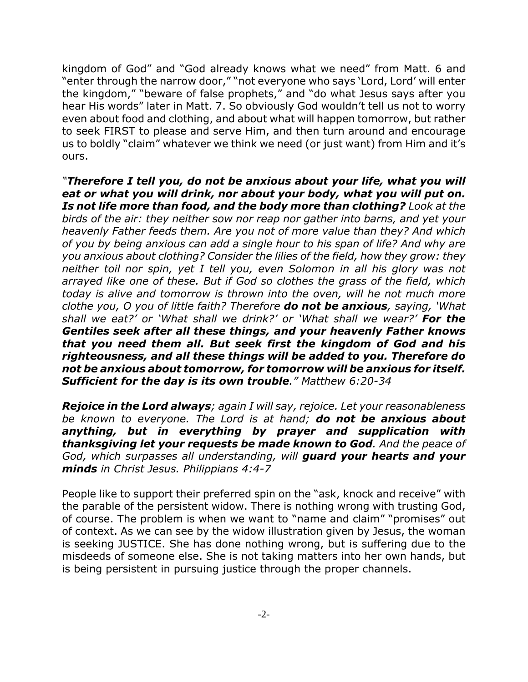kingdom of God" and "God already knows what we need" from Matt. 6 and "enter through the narrow door," "not everyone who says 'Lord, Lord' will enter the kingdom," "beware of false prophets," and "do what Jesus says after you hear His words" later in Matt. 7. So obviously God wouldn't tell us not to worry even about food and clothing, and about what will happen tomorrow, but rather to seek FIRST to please and serve Him, and then turn around and encourage us to boldly "claim" whatever we think we need (or just want) from Him and it's ours.

*"Therefore I tell you, do not be anxious about your life, what you will eat or what you will drink, nor about your body, what you will put on. Is not life more than food, and the body more than clothing? Look at the birds of the air: they neither sow nor reap nor gather into barns, and yet your heavenly Father feeds them. Are you not of more value than they? And which of you by being anxious can add a single hour to his span of life? And why are you anxious about clothing? Consider the lilies of the field, how they grow: they neither toil nor spin, yet I tell you, even Solomon in all his glory was not arrayed like one of these. But if God so clothes the grass of the field, which today is alive and tomorrow is thrown into the oven, will he not much more clothe you, O you of little faith? Therefore do not be anxious, saying, 'What shall we eat?' or 'What shall we drink?' or 'What shall we wear?' For the Gentiles seek after all these things, and your heavenly Father knows that you need them all. But seek first the kingdom of God and his righteousness, and all these things will be added to you. Therefore do not be anxious about tomorrow, for tomorrow will be anxious for itself. Sufficient for the day is its own trouble." Matthew 6:20-34*

*Rejoice in the Lord always; again I will say, rejoice. Let your reasonableness be known to everyone. The Lord is at hand; do not be anxious about anything, but in everything by prayer and supplication with thanksgiving let your requests be made known to God. And the peace of God, which surpasses all understanding, will guard your hearts and your minds in Christ Jesus. Philippians 4:4-7*

People like to support their preferred spin on the "ask, knock and receive" with the parable of the persistent widow. There is nothing wrong with trusting God, of course. The problem is when we want to "name and claim" "promises" out of context. As we can see by the widow illustration given by Jesus, the woman is seeking JUSTICE. She has done nothing wrong, but is suffering due to the misdeeds of someone else. She is not taking matters into her own hands, but is being persistent in pursuing justice through the proper channels.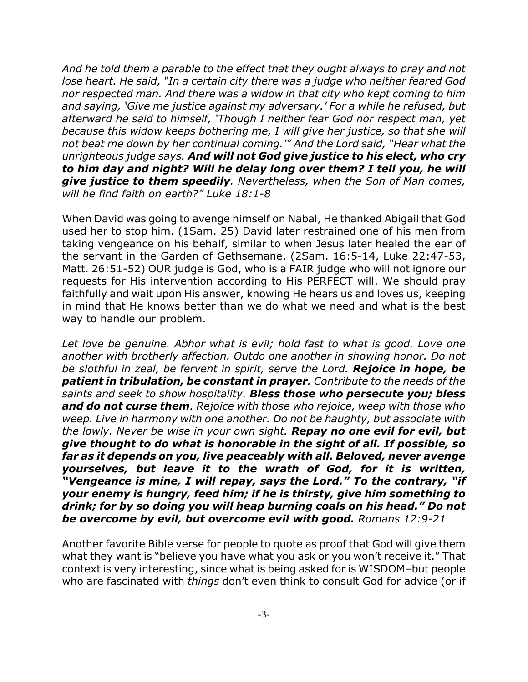*And he told them a parable to the effect that they ought always to pray and not lose heart. He said, "In a certain city there was a judge who neither feared God nor respected man. And there was a widow in that city who kept coming to him and saying, 'Give me justice against my adversary.' For a while he refused, but afterward he said to himself, 'Though I neither fear God nor respect man, yet because this widow keeps bothering me, I will give her justice, so that she will not beat me down by her continual coming.'" And the Lord said, "Hear what the unrighteous judge says. And will not God give justice to his elect, who cry to him day and night? Will he delay long over them? I tell you, he will give justice to them speedily. Nevertheless, when the Son of Man comes, will he find faith on earth?" Luke 18:1-8*

When David was going to avenge himself on Nabal, He thanked Abigail that God used her to stop him. (1Sam. 25) David later restrained one of his men from taking vengeance on his behalf, similar to when Jesus later healed the ear of the servant in the Garden of Gethsemane. (2Sam. 16:5-14, Luke 22:47-53, Matt. 26:51-52) OUR judge is God, who is a FAIR judge who will not ignore our requests for His intervention according to His PERFECT will. We should pray faithfully and wait upon His answer, knowing He hears us and loves us, keeping in mind that He knows better than we do what we need and what is the best way to handle our problem.

*Let love be genuine. Abhor what is evil; hold fast to what is good. Love one another with brotherly affection. Outdo one another in showing honor. Do not be slothful in zeal, be fervent in spirit, serve the Lord. Rejoice in hope, be patient in tribulation, be constant in prayer. Contribute to the needs of the saints and seek to show hospitality. Bless those who persecute you; bless and do not curse them. Rejoice with those who rejoice, weep with those who weep. Live in harmony with one another. Do not be haughty, but associate with the lowly. Never be wise in your own sight. Repay no one evil for evil, but give thought to do what is honorable in the sight of all. If possible, so far as it depends on you, live peaceably with all. Beloved, never avenge yourselves, but leave it to the wrath of God, for it is written, "Vengeance is mine, I will repay, says the Lord." To the contrary, "if your enemy is hungry, feed him; if he is thirsty, give him something to drink; for by so doing you will heap burning coals on his head." Do not be overcome by evil, but overcome evil with good. Romans 12:9-21*

Another favorite Bible verse for people to quote as proof that God will give them what they want is "believe you have what you ask or you won't receive it." That context is very interesting, since what is being asked for is WISDOM–but people who are fascinated with *things* don't even think to consult God for advice (or if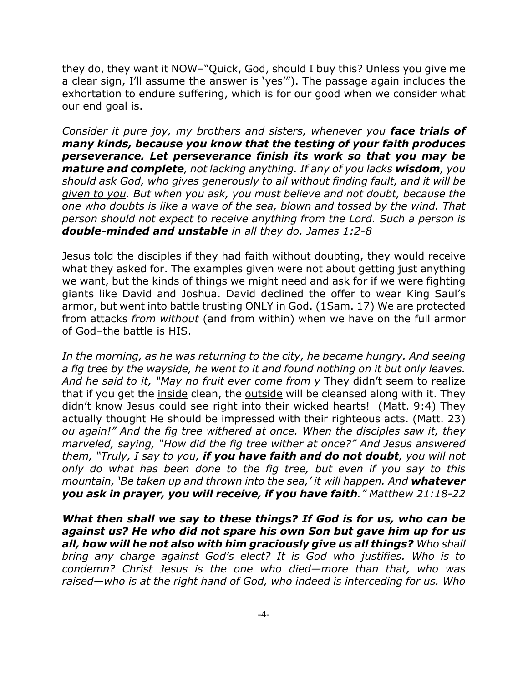they do, they want it NOW–"Quick, God, should I buy this? Unless you give me a clear sign, I'll assume the answer is 'yes'"). The passage again includes the exhortation to endure suffering, which is for our good when we consider what our end goal is.

*Consider it pure joy, my brothers and sisters, whenever you face trials of many kinds, because you know that the testing of your faith produces perseverance. Let perseverance finish its work so that you may be mature and complete, not lacking anything. If any of you lacks wisdom, you should ask God, who gives generously to all without finding fault, and it will be given to you. But when you ask, you must believe and not doubt, because the one who doubts is like a wave of the sea, blown and tossed by the wind. That person should not expect to receive anything from the Lord. Such a person is double-minded and unstable in all they do. James 1:2-8*

Jesus told the disciples if they had faith without doubting, they would receive what they asked for. The examples given were not about getting just anything we want, but the kinds of things we might need and ask for if we were fighting giants like David and Joshua. David declined the offer to wear King Saul's armor, but went into battle trusting ONLY in God. (1Sam. 17) We are protected from attacks *from without* (and from within) when we have on the full armor of God–the battle is HIS.

*In the morning, as he was returning to the city, he became hungry. And seeing a fig tree by the wayside, he went to it and found nothing on it but only leaves. And he said to it, "May no fruit ever come from y* They didn't seem to realize that if you get the inside clean, the outside will be cleansed along with it. They didn't know Jesus could see right into their wicked hearts! (Matt. 9:4) They actually thought He should be impressed with their righteous acts. (Matt. 23) *ou again!" And the fig tree withered at once. When the disciples saw it, they marveled, saying, "How did the fig tree wither at once?" And Jesus answered them, "Truly, I say to you, if you have faith and do not doubt, you will not only do what has been done to the fig tree, but even if you say to this mountain, 'Be taken up and thrown into the sea,' it will happen. And whatever you ask in prayer, you will receive, if you have faith." Matthew 21:18-22*

*What then shall we say to these things? If God is for us, who can be against us? He who did not spare his own Son but gave him up for us all, how will he not also with him graciously give us all things? Who shall bring any charge against God's elect? It is God who justifies. Who is to condemn? Christ Jesus is the one who died—more than that, who was raised—who is at the right hand of God, who indeed is interceding for us. Who*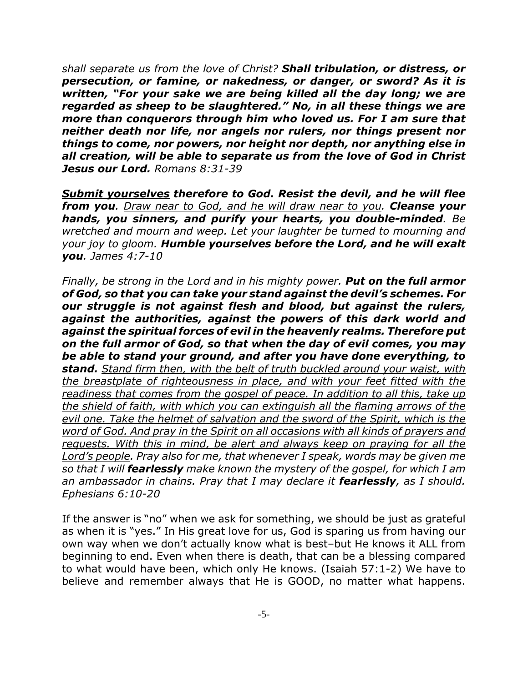*shall separate us from the love of Christ? Shall tribulation, or distress, or persecution, or famine, or nakedness, or danger, or sword? As it is written, "For your sake we are being killed all the day long; we are regarded as sheep to be slaughtered." No, in all these things we are more than conquerors through him who loved us. For I am sure that neither death nor life, nor angels nor rulers, nor things present nor things to come, nor powers, nor height nor depth, nor anything else in all creation, will be able to separate us from the love of God in Christ Jesus our Lord. Romans 8:31-39*

*Submit yourselves therefore to God. Resist the devil, and he will flee from you. Draw near to God, and he will draw near to you. Cleanse your hands, you sinners, and purify your hearts, you double-minded. Be wretched and mourn and weep. Let your laughter be turned to mourning and your joy to gloom. Humble yourselves before the Lord, and he will exalt you. James 4:7-10*

*Finally, be strong in the Lord and in his mighty power. Put on the full armor of God, so that you can take your stand against the devil's schemes. For our struggle is not against flesh and blood, but against the rulers, against the authorities, against the powers of this dark world and against the spiritual forces of evil in the heavenly realms. Therefore put on the full armor of God, so that when the day of evil comes, you may be able to stand your ground, and after you have done everything, to stand. Stand firm then, with the belt of truth buckled around your waist, with the breastplate of righteousness in place, and with your feet fitted with the readiness that comes from the gospel of peace. In addition to all this, take up the shield of faith, with which you can extinguish all the flaming arrows of the evil one. Take the helmet of salvation and the sword of the Spirit, which is the word of God. And pray in the Spirit on all occasions with all kinds of prayers and requests. With this in mind, be alert and always keep on praying for all the Lord's people. Pray also for me, that whenever I speak, words may be given me so that I will fearlessly make known the mystery of the gospel, for which I am an ambassador in chains. Pray that I may declare it fearlessly, as I should. Ephesians 6:10-20*

If the answer is "no" when we ask for something, we should be just as grateful as when it is "yes." In His great love for us, God is sparing us from having our own way when we don't actually know what is best–but He knows it ALL from beginning to end. Even when there is death, that can be a blessing compared to what would have been, which only He knows. (Isaiah 57:1-2) We have to believe and remember always that He is GOOD, no matter what happens.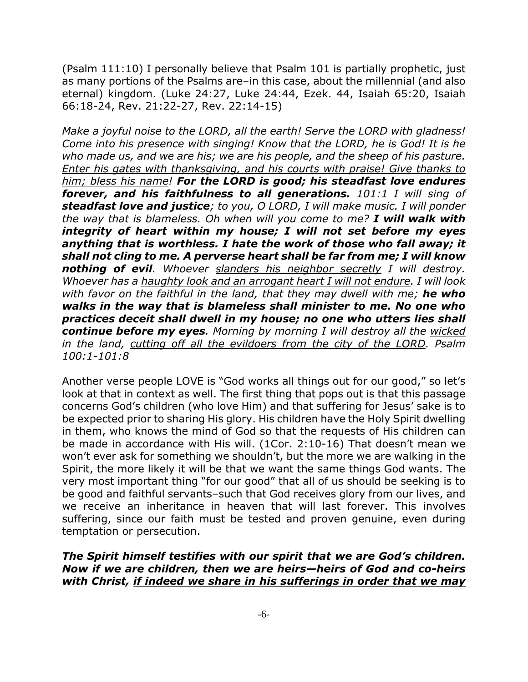(Psalm 111:10) I personally believe that Psalm 101 is partially prophetic, just as many portions of the Psalms are–in this case, about the millennial (and also eternal) kingdom. (Luke 24:27, Luke 24:44, Ezek. 44, Isaiah 65:20, Isaiah 66:18-24, Rev. 21:22-27, Rev. 22:14-15)

*Make a joyful noise to the LORD, all the earth! Serve the LORD with gladness! Come into his presence with singing! Know that the LORD, he is God! It is he who made us, and we are his; we are his people, and the sheep of his pasture. Enter his gates with thanksgiving, and his courts with praise! Give thanks to him; bless his name! For the LORD is good; his steadfast love endures forever, and his faithfulness to all generations. 101:1 I will sing of steadfast love and justice; to you, O LORD, I will make music. I will ponder the way that is blameless. Oh when will you come to me? I will walk with integrity of heart within my house; I will not set before my eyes anything that is worthless. I hate the work of those who fall away; it shall not cling to me. A perverse heart shall be far from me; I will know nothing of evil. Whoever slanders his neighbor secretly I will destroy. Whoever has a haughty look and an arrogant heart I will not endure. I will look with favor on the faithful in the land, that they may dwell with me; he who walks in the way that is blameless shall minister to me. No one who practices deceit shall dwell in my house; no one who utters lies shall continue before my eyes. Morning by morning I will destroy all the wicked in the land, cutting off all the evildoers from the city of the LORD. Psalm 100:1-101:8*

Another verse people LOVE is "God works all things out for our good," so let's look at that in context as well. The first thing that pops out is that this passage concerns God's children (who love Him) and that suffering for Jesus' sake is to be expected prior to sharing His glory. His children have the Holy Spirit dwelling in them, who knows the mind of God so that the requests of His children can be made in accordance with His will. (1Cor. 2:10-16) That doesn't mean we won't ever ask for something we shouldn't, but the more we are walking in the Spirit, the more likely it will be that we want the same things God wants. The very most important thing "for our good" that all of us should be seeking is to be good and faithful servants–such that God receives glory from our lives, and we receive an inheritance in heaven that will last forever. This involves suffering, since our faith must be tested and proven genuine, even during temptation or persecution.

## *The Spirit himself testifies with our spirit that we are God's children. Now if we are children, then we are heirs—heirs of God and co-heirs with Christ, if indeed we share in his sufferings in order that we may*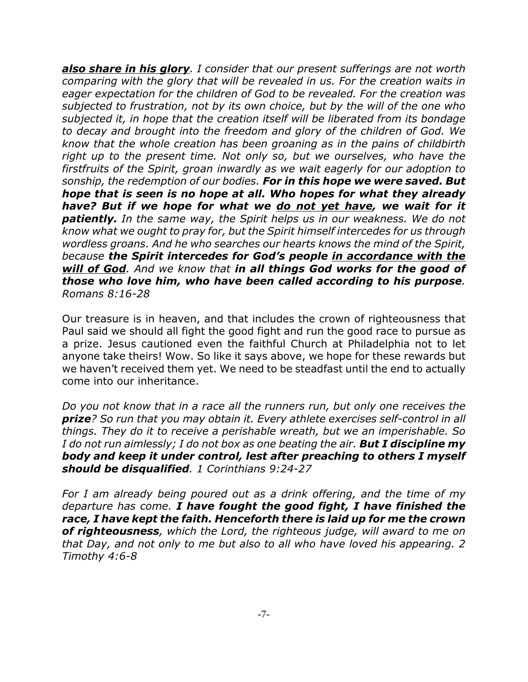*also share in his glory. I consider that our present sufferings are not worth comparing with the glory that will be revealed in us. For the creation waits in eager expectation for the children of God to be revealed. For the creation was subjected to frustration, not by its own choice, but by the will of the one who subjected it, in hope that the creation itself will be liberated from its bondage to decay and brought into the freedom and glory of the children of God. We know that the whole creation has been groaning as in the pains of childbirth right up to the present time. Not only so, but we ourselves, who have the firstfruits of the Spirit, groan inwardly as we wait eagerly for our adoption to sonship, the redemption of our bodies. For in this hope we were saved. But hope that is seen is no hope at all. Who hopes for what they already have? But if we hope for what we do not yet have, we wait for it patiently. In the same way, the Spirit helps us in our weakness. We do not know what we ought to pray for, but the Spirit himself intercedes for us through wordless groans. And he who searches our hearts knows the mind of the Spirit, because the Spirit intercedes for God's people in accordance with the will of God. And we know that in all things God works for the good of those who love him, who have been called according to his purpose. Romans 8:16-28*

Our treasure is in heaven, and that includes the crown of righteousness that Paul said we should all fight the good fight and run the good race to pursue as a prize. Jesus cautioned even the faithful Church at Philadelphia not to let anyone take theirs! Wow. So like it says above, we hope for these rewards but we haven't received them yet. We need to be steadfast until the end to actually come into our inheritance.

*Do you not know that in a race all the runners run, but only one receives the prize? So run that you may obtain it. Every athlete exercises self-control in all things. They do it to receive a perishable wreath, but we an imperishable. So I do not run aimlessly; I do not box as one beating the air. But I discipline my body and keep it under control, lest after preaching to others I myself should be disqualified. 1 Corinthians 9:24-27*

*For I am already being poured out as a drink offering, and the time of my departure has come. I have fought the good fight, I have finished the race, I have kept the faith. Henceforth there is laid up for me the crown of righteousness, which the Lord, the righteous judge, will award to me on that Day, and not only to me but also to all who have loved his appearing. 2 Timothy 4:6-8*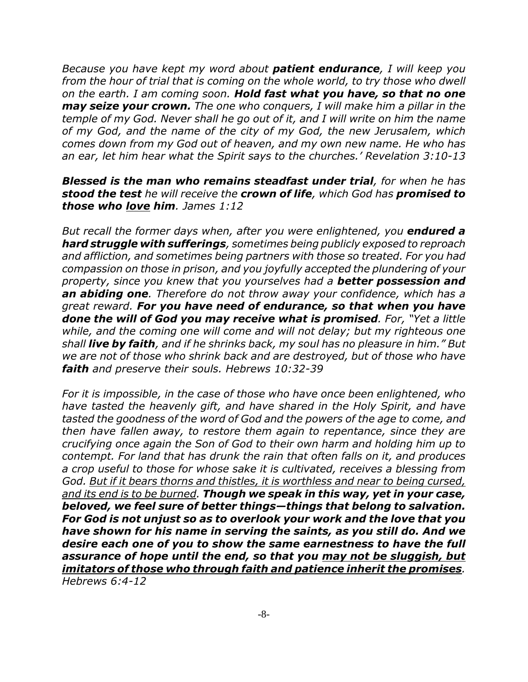*Because you have kept my word about patient endurance, I will keep you from the hour of trial that is coming on the whole world, to try those who dwell on the earth. I am coming soon. Hold fast what you have, so that no one may seize your crown. The one who conquers, I will make him a pillar in the temple of my God. Never shall he go out of it, and I will write on him the name of my God, and the name of the city of my God, the new Jerusalem, which comes down from my God out of heaven, and my own new name. He who has an ear, let him hear what the Spirit says to the churches.' Revelation 3:10-13*

#### *Blessed is the man who remains steadfast under trial, for when he has stood the test he will receive the crown of life, which God has promised to those who love him. James 1:12*

*But recall the former days when, after you were enlightened, you endured a hard struggle with sufferings, sometimes being publicly exposed to reproach and affliction, and sometimes being partners with those so treated. For you had compassion on those in prison, and you joyfully accepted the plundering of your property, since you knew that you yourselves had a better possession and an abiding one. Therefore do not throw away your confidence, which has a great reward. For you have need of endurance, so that when you have done the will of God you may receive what is promised. For, "Yet a little while, and the coming one will come and will not delay; but my righteous one shall live by faith, and if he shrinks back, my soul has no pleasure in him." But we are not of those who shrink back and are destroyed, but of those who have faith and preserve their souls. Hebrews 10:32-39*

*For it is impossible, in the case of those who have once been enlightened, who have tasted the heavenly gift, and have shared in the Holy Spirit, and have tasted the goodness of the word of God and the powers of the age to come, and then have fallen away, to restore them again to repentance, since they are crucifying once again the Son of God to their own harm and holding him up to contempt. For land that has drunk the rain that often falls on it, and produces a crop useful to those for whose sake it is cultivated, receives a blessing from God. But if it bears thorns and thistles, it is worthless and near to being cursed, and its end is to be burned. Though we speak in this way, yet in your case, beloved, we feel sure of better things—things that belong to salvation. For God is not unjust so as to overlook your work and the love that you have shown for his name in serving the saints, as you still do. And we desire each one of you to show the same earnestness to have the full assurance of hope until the end, so that you may not be sluggish, but imitators of those who through faith and patience inherit the promises. Hebrews 6:4-12*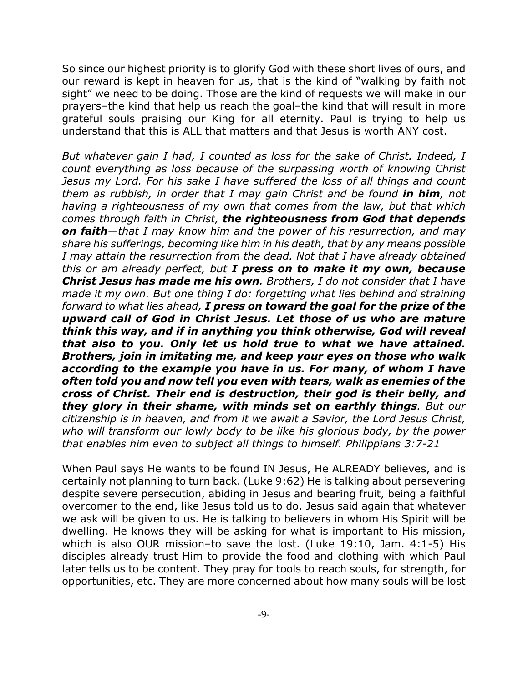So since our highest priority is to glorify God with these short lives of ours, and our reward is kept in heaven for us, that is the kind of "walking by faith not sight" we need to be doing. Those are the kind of requests we will make in our prayers–the kind that help us reach the goal–the kind that will result in more grateful souls praising our King for all eternity. Paul is trying to help us understand that this is ALL that matters and that Jesus is worth ANY cost.

*But whatever gain I had, I counted as loss for the sake of Christ. Indeed, I count everything as loss because of the surpassing worth of knowing Christ Jesus my Lord. For his sake I have suffered the loss of all things and count them as rubbish, in order that I may gain Christ and be found in him, not having a righteousness of my own that comes from the law, but that which comes through faith in Christ, the righteousness from God that depends on faith—that I may know him and the power of his resurrection, and may share his sufferings, becoming like him in his death, that by any means possible I may attain the resurrection from the dead. Not that I have already obtained this or am already perfect, but I press on to make it my own, because Christ Jesus has made me his own. Brothers, I do not consider that I have made it my own. But one thing I do: forgetting what lies behind and straining forward to what lies ahead, I press on toward the goal for the prize of the upward call of God in Christ Jesus. Let those of us who are mature think this way, and if in anything you think otherwise, God will reveal that also to you. Only let us hold true to what we have attained. Brothers, join in imitating me, and keep your eyes on those who walk according to the example you have in us. For many, of whom I have often told you and now tell you even with tears, walk as enemies of the cross of Christ. Their end is destruction, their god is their belly, and they glory in their shame, with minds set on earthly things. But our citizenship is in heaven, and from it we await a Savior, the Lord Jesus Christ, who will transform our lowly body to be like his glorious body, by the power that enables him even to subject all things to himself. Philippians 3:7-21*

When Paul says He wants to be found IN Jesus, He ALREADY believes, and is certainly not planning to turn back. (Luke 9:62) He is talking about persevering despite severe persecution, abiding in Jesus and bearing fruit, being a faithful overcomer to the end, like Jesus told us to do. Jesus said again that whatever we ask will be given to us. He is talking to believers in whom His Spirit will be dwelling. He knows they will be asking for what is important to His mission, which is also OUR mission–to save the lost. (Luke 19:10, Jam. 4:1-5) His disciples already trust Him to provide the food and clothing with which Paul later tells us to be content. They pray for tools to reach souls, for strength, for opportunities, etc. They are more concerned about how many souls will be lost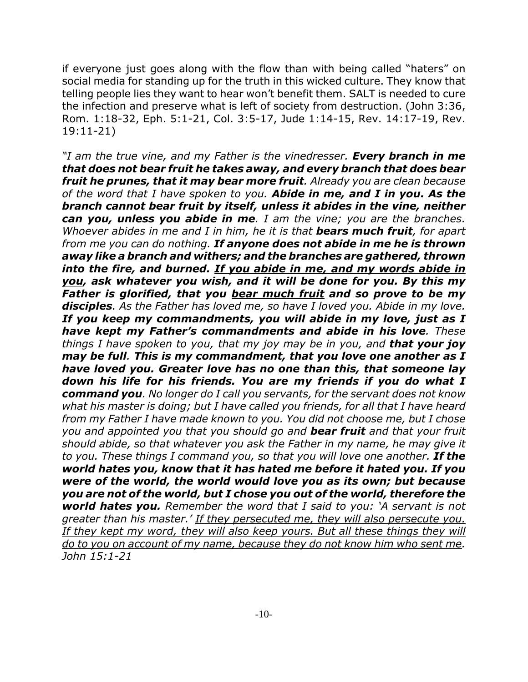if everyone just goes along with the flow than with being called "haters" on social media for standing up for the truth in this wicked culture. They know that telling people lies they want to hear won't benefit them. SALT is needed to cure the infection and preserve what is left of society from destruction. (John 3:36, Rom. 1:18-32, Eph. 5:1-21, Col. 3:5-17, Jude 1:14-15, Rev. 14:17-19, Rev. 19:11-21)

*"I am the true vine, and my Father is the vinedresser. Every branch in me that does not bear fruit he takes away, and every branch that does bear fruit he prunes, that it may bear more fruit. Already you are clean because of the word that I have spoken to you. Abide in me, and I in you. As the branch cannot bear fruit by itself, unless it abides in the vine, neither can you, unless you abide in me. I am the vine; you are the branches. Whoever abides in me and I in him, he it is that bears much fruit, for apart from me you can do nothing. If anyone does not abide in me he is thrown away like a branch and withers; and the branches are gathered, thrown into the fire, and burned. If you abide in me, and my words abide in you, ask whatever you wish, and it will be done for you. By this my Father is glorified, that you bear much fruit and so prove to be my disciples. As the Father has loved me, so have I loved you. Abide in my love. If you keep my commandments, you will abide in my love, just as I have kept my Father's commandments and abide in his love. These things I have spoken to you, that my joy may be in you, and that your joy may be full. This is my commandment, that you love one another as I have loved you. Greater love has no one than this, that someone lay down his life for his friends. You are my friends if you do what I command you. No longer do I call you servants, for the servant does not know what his master is doing; but I have called you friends, for all that I have heard from my Father I have made known to you. You did not choose me, but I chose you and appointed you that you should go and bear fruit and that your fruit should abide, so that whatever you ask the Father in my name, he may give it to you. These things I command you, so that you will love one another. If the world hates you, know that it has hated me before it hated you. If you were of the world, the world would love you as its own; but because you are not of the world, but I chose you out of the world, therefore the world hates you. Remember the word that I said to you: 'A servant is not greater than his master.' If they persecuted me, they will also persecute you.* If they kept my word, they will also keep yours. But all these things they will *do to you on account of my name, because they do not know him who sent me. John 15:1-21*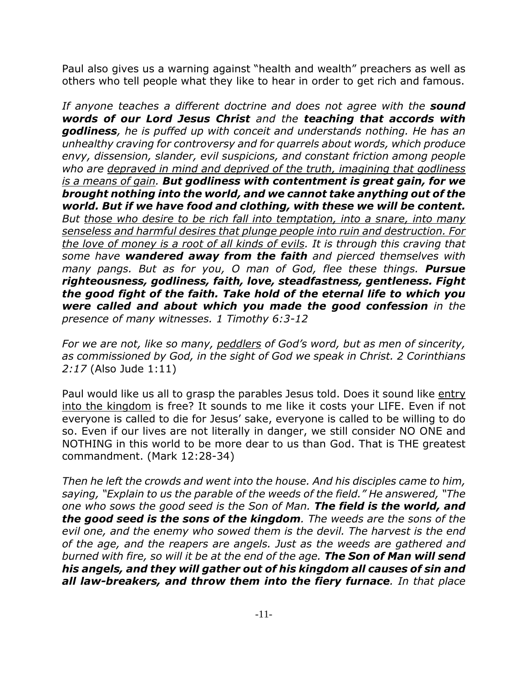Paul also gives us a warning against "health and wealth" preachers as well as others who tell people what they like to hear in order to get rich and famous.

*If anyone teaches a different doctrine and does not agree with the sound words of our Lord Jesus Christ and the teaching that accords with godliness, he is puffed up with conceit and understands nothing. He has an unhealthy craving for controversy and for quarrels about words, which produce envy, dissension, slander, evil suspicions, and constant friction among people who are depraved in mind and deprived of the truth, imagining that godliness is a means of gain. But godliness with contentment is great gain, for we brought nothing into the world, and we cannot take anything out of the world. But if we have food and clothing, with these we will be content. But those who desire to be rich fall into temptation, into a snare, into many senseless and harmful desires that plunge people into ruin and destruction. For the love of money is a root of all kinds of evils. It is through this craving that some have wandered away from the faith and pierced themselves with many pangs. But as for you, O man of God, flee these things. Pursue righteousness, godliness, faith, love, steadfastness, gentleness. Fight the good fight of the faith. Take hold of the eternal life to which you were called and about which you made the good confession in the presence of many witnesses. 1 Timothy 6:3-12*

*For we are not, like so many, peddlers of God's word, but as men of sincerity, as commissioned by God, in the sight of God we speak in Christ. 2 Corinthians 2:17* (Also Jude 1:11)

Paul would like us all to grasp the parables Jesus told. Does it sound like entry into the kingdom is free? It sounds to me like it costs your LIFE. Even if not everyone is called to die for Jesus' sake, everyone is called to be willing to do so. Even if our lives are not literally in danger, we still consider NO ONE and NOTHING in this world to be more dear to us than God. That is THE greatest commandment. (Mark 12:28-34)

*Then he left the crowds and went into the house. And his disciples came to him, saying, "Explain to us the parable of the weeds of the field." He answered, "The one who sows the good seed is the Son of Man. The field is the world, and the good seed is the sons of the kingdom. The weeds are the sons of the evil one, and the enemy who sowed them is the devil. The harvest is the end of the age, and the reapers are angels. Just as the weeds are gathered and burned with fire, so will it be at the end of the age. The Son of Man will send his angels, and they will gather out of his kingdom all causes of sin and all law-breakers, and throw them into the fiery furnace. In that place*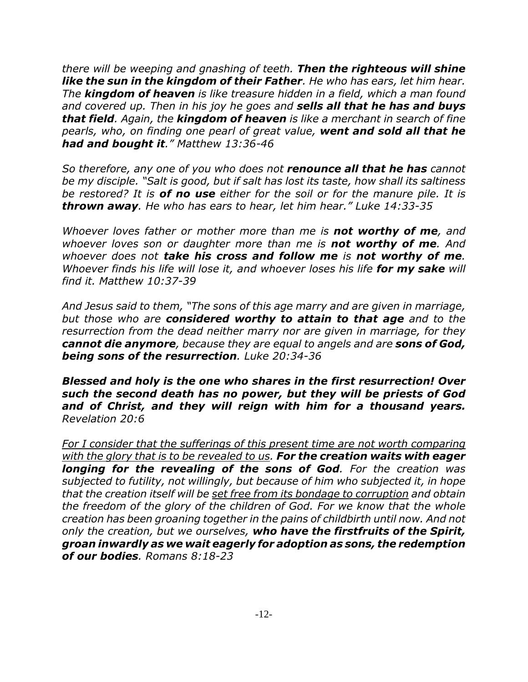*there will be weeping and gnashing of teeth. Then the righteous will shine like the sun in the kingdom of their Father. He who has ears, let him hear. The kingdom of heaven is like treasure hidden in a field, which a man found and covered up. Then in his joy he goes and sells all that he has and buys that field. Again, the kingdom of heaven is like a merchant in search of fine pearls, who, on finding one pearl of great value, went and sold all that he had and bought it." Matthew 13:36-46*

*So therefore, any one of you who does not renounce all that he has cannot be my disciple. "Salt is good, but if salt has lost its taste, how shall its saltiness be restored? It is of no use either for the soil or for the manure pile. It is thrown away. He who has ears to hear, let him hear." Luke 14:33-35*

*Whoever loves father or mother more than me is not worthy of me, and whoever loves son or daughter more than me is not worthy of me. And whoever does not take his cross and follow me is not worthy of me. Whoever finds his life will lose it, and whoever loses his life for my sake will find it. Matthew 10:37-39*

*And Jesus said to them, "The sons of this age marry and are given in marriage, but those who are considered worthy to attain to that age and to the resurrection from the dead neither marry nor are given in marriage, for they cannot die anymore, because they are equal to angels and are sons of God, being sons of the resurrection. Luke 20:34-36*

*Blessed and holy is the one who shares in the first resurrection! Over such the second death has no power, but they will be priests of God and of Christ, and they will reign with him for a thousand years. Revelation 20:6*

*For I consider that the sufferings of this present time are not worth comparing with the glory that is to be revealed to us. For the creation waits with eager longing for the revealing of the sons of God. For the creation was subjected to futility, not willingly, but because of him who subjected it, in hope that the creation itself will be set free from its bondage to corruption and obtain the freedom of the glory of the children of God. For we know that the whole creation has been groaning together in the pains of childbirth until now. And not only the creation, but we ourselves, who have the firstfruits of the Spirit, groan inwardly as we wait eagerly for adoption as sons, the redemption of our bodies. Romans 8:18-23*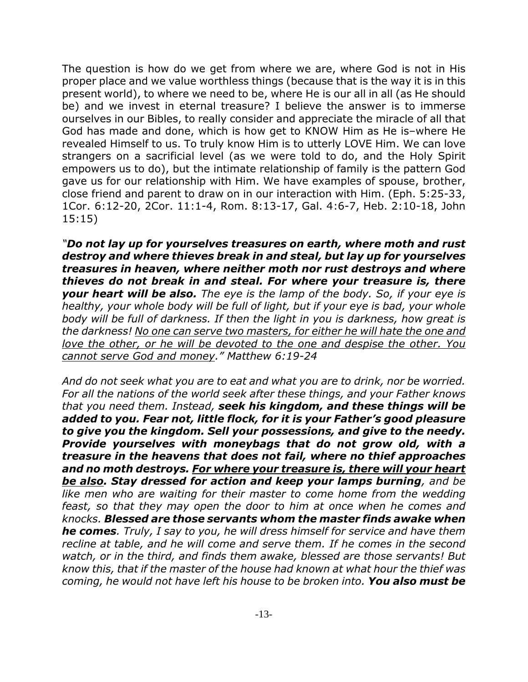The question is how do we get from where we are, where God is not in His proper place and we value worthless things (because that is the way it is in this present world), to where we need to be, where He is our all in all (as He should be) and we invest in eternal treasure? I believe the answer is to immerse ourselves in our Bibles, to really consider and appreciate the miracle of all that God has made and done, which is how get to KNOW Him as He is–where He revealed Himself to us. To truly know Him is to utterly LOVE Him. We can love strangers on a sacrificial level (as we were told to do, and the Holy Spirit empowers us to do), but the intimate relationship of family is the pattern God gave us for our relationship with Him. We have examples of spouse, brother, close friend and parent to draw on in our interaction with Him. (Eph. 5:25-33, 1Cor. 6:12-20, 2Cor. 11:1-4, Rom. 8:13-17, Gal. 4:6-7, Heb. 2:10-18, John 15:15)

*"Do not lay up for yourselves treasures on earth, where moth and rust destroy and where thieves break in and steal, but lay up for yourselves treasures in heaven, where neither moth nor rust destroys and where thieves do not break in and steal. For where your treasure is, there your heart will be also. The eye is the lamp of the body. So, if your eye is healthy, your whole body will be full of light, but if your eye is bad, your whole body will be full of darkness. If then the light in you is darkness, how great is the darkness! No one can serve two masters, for either he will hate the one and love the other, or he will be devoted to the one and despise the other. You cannot serve God and money." Matthew 6:19-24*

*And do not seek what you are to eat and what you are to drink, nor be worried. For all the nations of the world seek after these things, and your Father knows that you need them. Instead, seek his kingdom, and these things will be added to you. Fear not, little flock, for it is your Father's good pleasure to give you the kingdom. Sell your possessions, and give to the needy. Provide yourselves with moneybags that do not grow old, with a treasure in the heavens that does not fail, where no thief approaches and no moth destroys. For where your treasure is, there will your heart be also. Stay dressed for action and keep your lamps burning, and be like men who are waiting for their master to come home from the wedding feast, so that they may open the door to him at once when he comes and knocks. Blessed are those servants whom the master finds awake when he comes. Truly, I say to you, he will dress himself for service and have them recline at table, and he will come and serve them. If he comes in the second watch, or in the third, and finds them awake, blessed are those servants! But know this, that if the master of the house had known at what hour the thief was coming, he would not have left his house to be broken into. You also must be*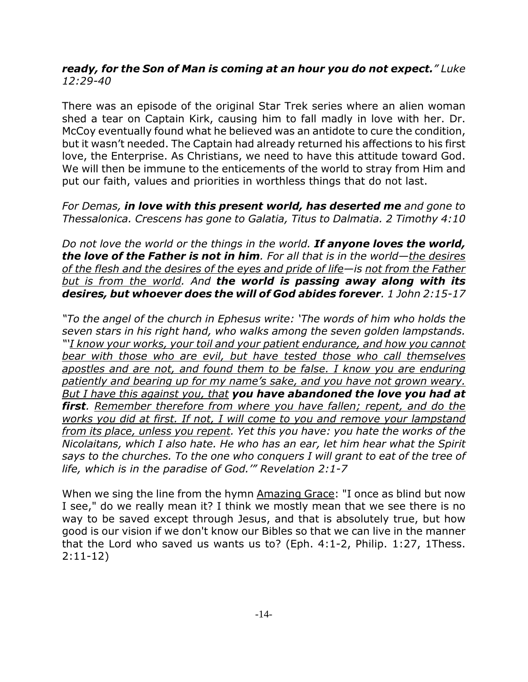## *ready, for the Son of Man is coming at an hour you do not expect." Luke 12:29-40*

There was an episode of the original Star Trek series where an alien woman shed a tear on Captain Kirk, causing him to fall madly in love with her. Dr. McCoy eventually found what he believed was an antidote to cure the condition, but it wasn't needed. The Captain had already returned his affections to his first love, the Enterprise. As Christians, we need to have this attitude toward God. We will then be immune to the enticements of the world to stray from Him and put our faith, values and priorities in worthless things that do not last.

## *For Demas, in love with this present world, has deserted me and gone to Thessalonica. Crescens has gone to Galatia, Titus to Dalmatia. 2 Timothy 4:10*

*Do not love the world or the things in the world. If anyone loves the world, the love of the Father is not in him. For all that is in the world—the desires of the flesh and the desires of the eyes and pride of life—is not from the Father but is from the world. And the world is passing away along with its desires, but whoever does the will of God abides forever. 1 John 2:15-17*

*"To the angel of the church in Ephesus write: 'The words of him who holds the seven stars in his right hand, who walks among the seven golden lampstands. "'I know your works, your toil and your patient endurance, and how you cannot bear with those who are evil, but have tested those who call themselves apostles and are not, and found them to be false. I know you are enduring patiently and bearing up for my name's sake, and you have not grown weary. But I have this against you, that you have abandoned the love you had at first. Remember therefore from where you have fallen; repent, and do the works you did at first. If not, I will come to you and remove your lampstand from its place, unless you repent. Yet this you have: you hate the works of the Nicolaitans, which I also hate. He who has an ear, let him hear what the Spirit says to the churches. To the one who conquers I will grant to eat of the tree of life, which is in the paradise of God.'" Revelation 2:1-7*

When we sing the line from the hymn Amazing Grace: "I once as blind but now I see," do we really mean it? I think we mostly mean that we see there is no way to be saved except through Jesus, and that is absolutely true, but how good is our vision if we don't know our Bibles so that we can live in the manner that the Lord who saved us wants us to? (Eph. 4:1-2, Philip. 1:27, 1Thess. 2:11-12)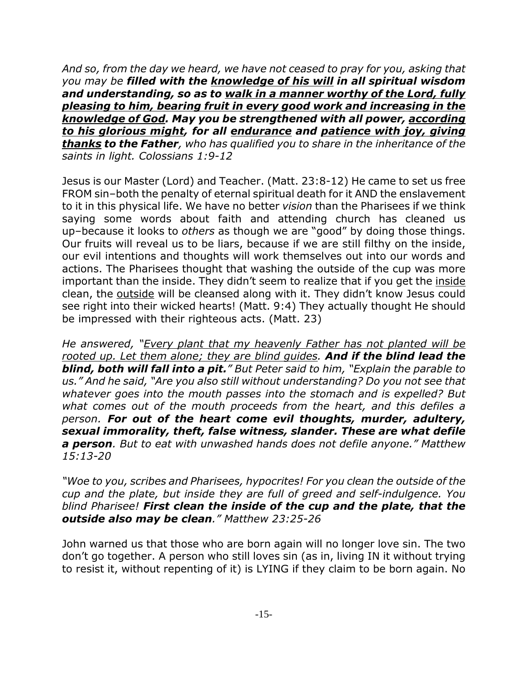*And so, from the day we heard, we have not ceased to pray for you, asking that you may be filled with the knowledge of his will in all spiritual wisdom and understanding, so as to walk in a manner worthy of the Lord, fully pleasing to him, bearing fruit in every good work and increasing in the knowledge of God. May you be strengthened with all power, according to his glorious might, for all endurance and patience with joy, giving thanks to the Father, who has qualified you to share in the inheritance of the saints in light. Colossians 1:9-12*

Jesus is our Master (Lord) and Teacher. (Matt. 23:8-12) He came to set us free FROM sin–both the penalty of eternal spiritual death for it AND the enslavement to it in this physical life. We have no better *vision* than the Pharisees if we think saying some words about faith and attending church has cleaned us up–because it looks to *others* as though we are "good" by doing those things. Our fruits will reveal us to be liars, because if we are still filthy on the inside, our evil intentions and thoughts will work themselves out into our words and actions. The Pharisees thought that washing the outside of the cup was more important than the inside. They didn't seem to realize that if you get the inside clean, the outside will be cleansed along with it. They didn't know Jesus could see right into their wicked hearts! (Matt. 9:4) They actually thought He should be impressed with their righteous acts. (Matt. 23)

*He answered, "Every plant that my heavenly Father has not planted will be rooted up. Let them alone; they are blind guides. And if the blind lead the blind, both will fall into a pit." But Peter said to him, "Explain the parable to us." And he said, "Are you also still without understanding? Do you not see that whatever goes into the mouth passes into the stomach and is expelled? But what comes out of the mouth proceeds from the heart, and this defiles a person. For out of the heart come evil thoughts, murder, adultery, sexual immorality, theft, false witness, slander. These are what defile a person. But to eat with unwashed hands does not defile anyone." Matthew 15:13-20*

*"Woe to you, scribes and Pharisees, hypocrites! For you clean the outside of the cup and the plate, but inside they are full of greed and self-indulgence. You blind Pharisee! First clean the inside of the cup and the plate, that the outside also may be clean." Matthew 23:25-26*

John warned us that those who are born again will no longer love sin. The two don't go together. A person who still loves sin (as in, living IN it without trying to resist it, without repenting of it) is LYING if they claim to be born again. No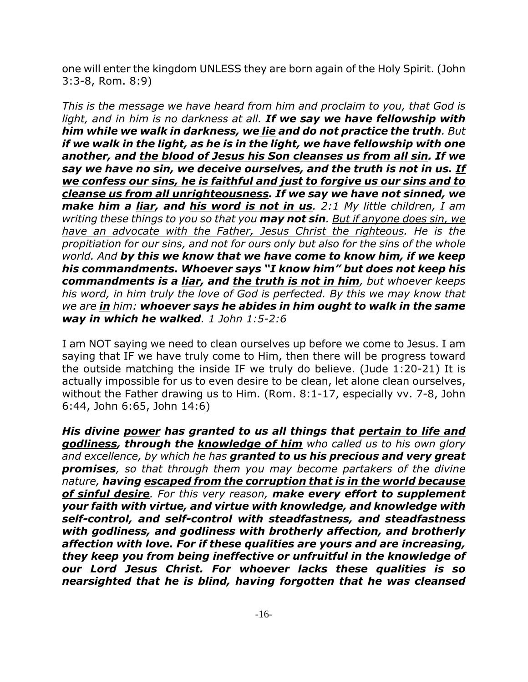one will enter the kingdom UNLESS they are born again of the Holy Spirit. (John 3:3-8, Rom. 8:9)

*This is the message we have heard from him and proclaim to you, that God is light, and in him is no darkness at all. If we say we have fellowship with him while we walk in darkness, we lie and do not practice the truth. But if we walk in the light, as he is in the light, we have fellowship with one another, and the blood of Jesus his Son cleanses us from all sin. If we say we have no sin, we deceive ourselves, and the truth is not in us. If we confess our sins, he is faithful and just to forgive us our sins and to cleanse us from all unrighteousness. If we say we have not sinned, we make him a liar, and his word is not in us. 2:1 My little children, I am writing these things to you so that you may not sin. But if anyone does sin, we have an advocate with the Father, Jesus Christ the righteous. He is the propitiation for our sins, and not for ours only but also for the sins of the whole world. And by this we know that we have come to know him, if we keep his commandments. Whoever says "I know him" but does not keep his commandments is a liar, and the truth is not in him, but whoever keeps his word, in him truly the love of God is perfected. By this we may know that we are in him: whoever says he abides in him ought to walk in the same way in which he walked. 1 John 1:5-2:6*

I am NOT saying we need to clean ourselves up before we come to Jesus. I am saying that IF we have truly come to Him, then there will be progress toward the outside matching the inside IF we truly do believe. (Jude 1:20-21) It is actually impossible for us to even desire to be clean, let alone clean ourselves, without the Father drawing us to Him. (Rom. 8:1-17, especially vv. 7-8, John 6:44, John 6:65, John 14:6)

*His divine power has granted to us all things that pertain to life and godliness, through the knowledge of him who called us to his own glory and excellence, by which he has granted to us his precious and very great promises, so that through them you may become partakers of the divine nature, having escaped from the corruption that is in the world because of sinful desire. For this very reason, make every effort to supplement your faith with virtue, and virtue with knowledge, and knowledge with self-control, and self-control with steadfastness, and steadfastness with godliness, and godliness with brotherly affection, and brotherly affection with love. For if these qualities are yours and are increasing, they keep you from being ineffective or unfruitful in the knowledge of our Lord Jesus Christ. For whoever lacks these qualities is so nearsighted that he is blind, having forgotten that he was cleansed*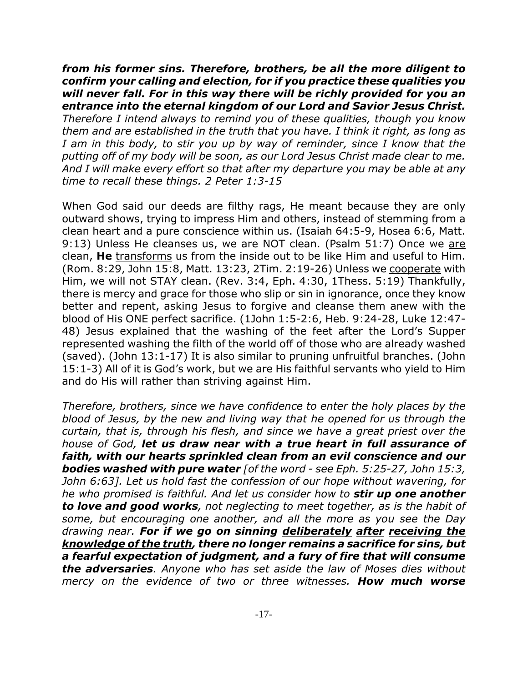*from his former sins. Therefore, brothers, be all the more diligent to confirm your calling and election, for if you practice these qualities you will never fall. For in this way there will be richly provided for you an entrance into the eternal kingdom of our Lord and Savior Jesus Christ. Therefore I intend always to remind you of these qualities, though you know them and are established in the truth that you have. I think it right, as long as I am in this body, to stir you up by way of reminder, since I know that the putting off of my body will be soon, as our Lord Jesus Christ made clear to me. And I will make every effort so that after my departure you may be able at any time to recall these things. 2 Peter 1:3-15*

When God said our deeds are filthy rags, He meant because they are only outward shows, trying to impress Him and others, instead of stemming from a clean heart and a pure conscience within us. (Isaiah 64:5-9, Hosea 6:6, Matt. 9:13) Unless He cleanses us, we are NOT clean. (Psalm 51:7) Once we are clean, **He** transforms us from the inside out to be like Him and useful to Him. (Rom. 8:29, John 15:8, Matt. 13:23, 2Tim. 2:19-26) Unless we cooperate with Him, we will not STAY clean. (Rev. 3:4, Eph. 4:30, 1Thess. 5:19) Thankfully, there is mercy and grace for those who slip or sin in ignorance, once they know better and repent, asking Jesus to forgive and cleanse them anew with the blood of His ONE perfect sacrifice. (1John 1:5-2:6, Heb. 9:24-28, Luke 12:47- 48) Jesus explained that the washing of the feet after the Lord's Supper represented washing the filth of the world off of those who are already washed (saved). (John 13:1-17) It is also similar to pruning unfruitful branches. (John 15:1-3) All of it is God's work, but we are His faithful servants who yield to Him and do His will rather than striving against Him.

*Therefore, brothers, since we have confidence to enter the holy places by the blood of Jesus, by the new and living way that he opened for us through the curtain, that is, through his flesh, and since we have a great priest over the house of God, let us draw near with a true heart in full assurance of faith, with our hearts sprinkled clean from an evil conscience and our bodies washed with pure water [of the word - see Eph. 5:25-27, John 15:3, John 6:63]. Let us hold fast the confession of our hope without wavering, for he who promised is faithful. And let us consider how to stir up one another to love and good works, not neglecting to meet together, as is the habit of some, but encouraging one another, and all the more as you see the Day drawing near. For if we go on sinning deliberately after receiving the knowledge of the truth, there no longer remains a sacrifice for sins, but a fearful expectation of judgment, and a fury of fire that will consume the adversaries. Anyone who has set aside the law of Moses dies without mercy on the evidence of two or three witnesses. How much worse*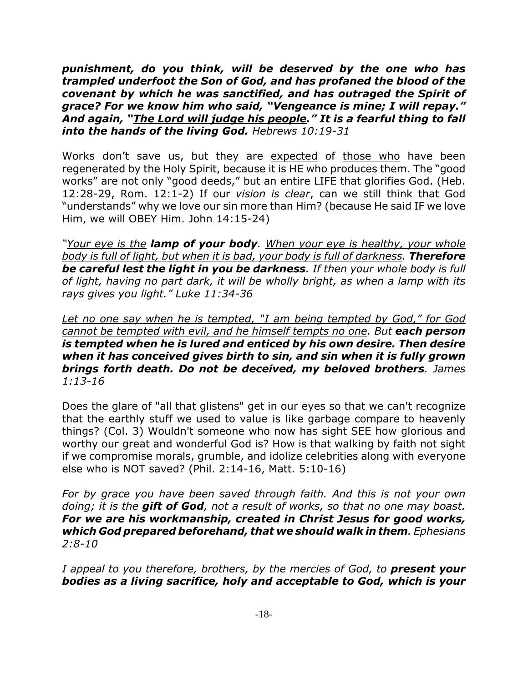*punishment, do you think, will be deserved by the one who has trampled underfoot the Son of God, and has profaned the blood of the covenant by which he was sanctified, and has outraged the Spirit of grace? For we know him who said, "Vengeance is mine; I will repay." And again, "The Lord will judge his people." It is a fearful thing to fall into the hands of the living God. Hebrews 10:19-31*

Works don't save us, but they are expected of those who have been regenerated by the Holy Spirit, because it is HE who produces them. The "good works" are not only "good deeds," but an entire LIFE that glorifies God. (Heb. 12:28-29, Rom. 12:1-2) If our *vision is clear*, can we still think that God "understands" why we love our sin more than Him? (because He said IF we love Him, we will OBEY Him. John 14:15-24)

*"Your eye is the lamp of your body. When your eye is healthy, your whole body is full of light, but when it is bad, your body is full of darkness. Therefore be careful lest the light in you be darkness. If then your whole body is full of light, having no part dark, it will be wholly bright, as when a lamp with its rays gives you light." Luke 11:34-36*

*Let no one say when he is tempted, "I am being tempted by God," for God cannot be tempted with evil, and he himself tempts no one. But each person is tempted when he is lured and enticed by his own desire. Then desire when it has conceived gives birth to sin, and sin when it is fully grown brings forth death. Do not be deceived, my beloved brothers. James 1:13-16*

Does the glare of "all that glistens" get in our eyes so that we can't recognize that the earthly stuff we used to value is like garbage compare to heavenly things? (Col. 3) Wouldn't someone who now has sight SEE how glorious and worthy our great and wonderful God is? How is that walking by faith not sight if we compromise morals, grumble, and idolize celebrities along with everyone else who is NOT saved? (Phil. 2:14-16, Matt. 5:10-16)

*For by grace you have been saved through faith. And this is not your own doing; it is the gift of God, not a result of works, so that no one may boast. For we are his workmanship, created in Christ Jesus for good works, which God prepared beforehand, that we should walk in them. Ephesians 2:8-10*

*I appeal to you therefore, brothers, by the mercies of God, to present your bodies as a living sacrifice, holy and acceptable to God, which is your*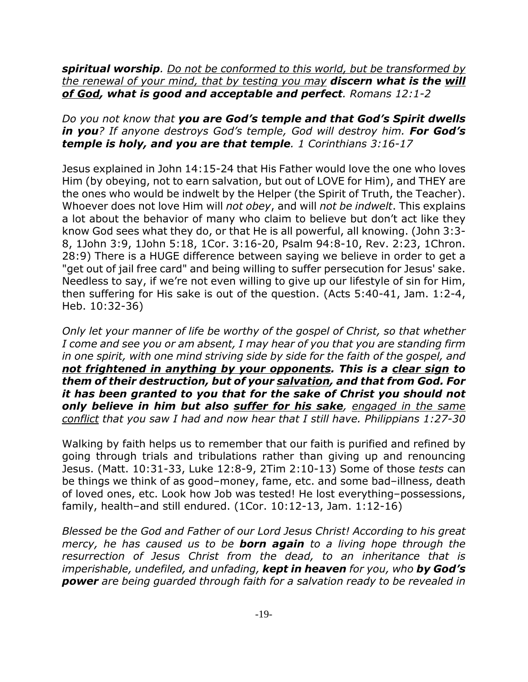*spiritual worship. Do not be conformed to this world, but be transformed by the renewal of your mind, that by testing you may discern what is the will of God, what is good and acceptable and perfect. Romans 12:1-2*

*Do you not know that you are God's temple and that God's Spirit dwells in you? If anyone destroys God's temple, God will destroy him. For God's temple is holy, and you are that temple. 1 Corinthians 3:16-17*

Jesus explained in John 14:15-24 that His Father would love the one who loves Him (by obeying, not to earn salvation, but out of LOVE for Him), and THEY are the ones who would be indwelt by the Helper (the Spirit of Truth, the Teacher). Whoever does not love Him will *not obey*, and will *not be indwelt*. This explains a lot about the behavior of many who claim to believe but don't act like they know God sees what they do, or that He is all powerful, all knowing. (John 3:3- 8, 1John 3:9, 1John 5:18, 1Cor. 3:16-20, Psalm 94:8-10, Rev. 2:23, 1Chron. 28:9) There is a HUGE difference between saying we believe in order to get a "get out of jail free card" and being willing to suffer persecution for Jesus' sake. Needless to say, if we're not even willing to give up our lifestyle of sin for Him, then suffering for His sake is out of the question. (Acts 5:40-41, Jam. 1:2-4, Heb. 10:32-36)

*Only let your manner of life be worthy of the gospel of Christ, so that whether I come and see you or am absent, I may hear of you that you are standing firm in one spirit, with one mind striving side by side for the faith of the gospel, and not frightened in anything by your opponents. This is a clear sign to them of their destruction, but of your salvation, and that from God. For it has been granted to you that for the sake of Christ you should not only believe in him but also suffer for his sake, engaged in the same conflict that you saw I had and now hear that I still have. Philippians 1:27-30*

Walking by faith helps us to remember that our faith is purified and refined by going through trials and tribulations rather than giving up and renouncing Jesus. (Matt. 10:31-33, Luke 12:8-9, 2Tim 2:10-13) Some of those *tests* can be things we think of as good–money, fame, etc. and some bad–illness, death of loved ones, etc. Look how Job was tested! He lost everything–possessions, family, health–and still endured. (1Cor. 10:12-13, Jam. 1:12-16)

*Blessed be the God and Father of our Lord Jesus Christ! According to his great mercy, he has caused us to be born again to a living hope through the resurrection of Jesus Christ from the dead, to an inheritance that is imperishable, undefiled, and unfading, kept in heaven for you, who by God's power are being guarded through faith for a salvation ready to be revealed in*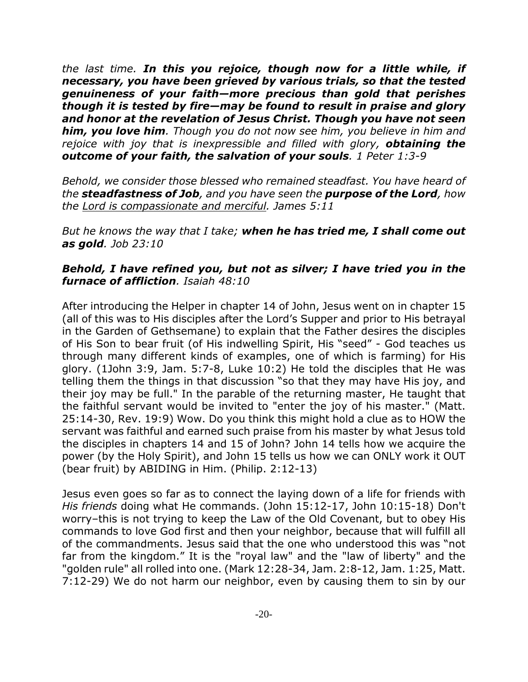*the last time. In this you rejoice, though now for a little while, if necessary, you have been grieved by various trials, so that the tested genuineness of your faith—more precious than gold that perishes though it is tested by fire—may be found to result in praise and glory and honor at the revelation of Jesus Christ. Though you have not seen him, you love him. Though you do not now see him, you believe in him and rejoice with joy that is inexpressible and filled with glory, obtaining the outcome of your faith, the salvation of your souls. 1 Peter 1:3-9*

*Behold, we consider those blessed who remained steadfast. You have heard of the steadfastness of Job, and you have seen the purpose of the Lord, how the Lord is compassionate and merciful. James 5:11*

*But he knows the way that I take; when he has tried me, I shall come out as gold. Job 23:10*

## *Behold, I have refined you, but not as silver; I have tried you in the furnace of affliction. Isaiah 48:10*

After introducing the Helper in chapter 14 of John, Jesus went on in chapter 15 (all of this was to His disciples after the Lord's Supper and prior to His betrayal in the Garden of Gethsemane) to explain that the Father desires the disciples of His Son to bear fruit (of His indwelling Spirit, His "seed" - God teaches us through many different kinds of examples, one of which is farming) for His glory. (1John 3:9, Jam. 5:7-8, Luke 10:2) He told the disciples that He was telling them the things in that discussion "so that they may have His joy, and their joy may be full." In the parable of the returning master, He taught that the faithful servant would be invited to "enter the joy of his master." (Matt. 25:14-30, Rev. 19:9) Wow. Do you think this might hold a clue as to HOW the servant was faithful and earned such praise from his master by what Jesus told the disciples in chapters 14 and 15 of John? John 14 tells how we acquire the power (by the Holy Spirit), and John 15 tells us how we can ONLY work it OUT (bear fruit) by ABIDING in Him. (Philip. 2:12-13)

Jesus even goes so far as to connect the laying down of a life for friends with *His friends* doing what He commands. (John 15:12-17, John 10:15-18) Don't worry–this is not trying to keep the Law of the Old Covenant, but to obey His commands to love God first and then your neighbor, because that will fulfill all of the commandments. Jesus said that the one who understood this was "not far from the kingdom." It is the "royal law" and the "law of liberty" and the "golden rule" all rolled into one. (Mark 12:28-34, Jam. 2:8-12, Jam. 1:25, Matt. 7:12-29) We do not harm our neighbor, even by causing them to sin by our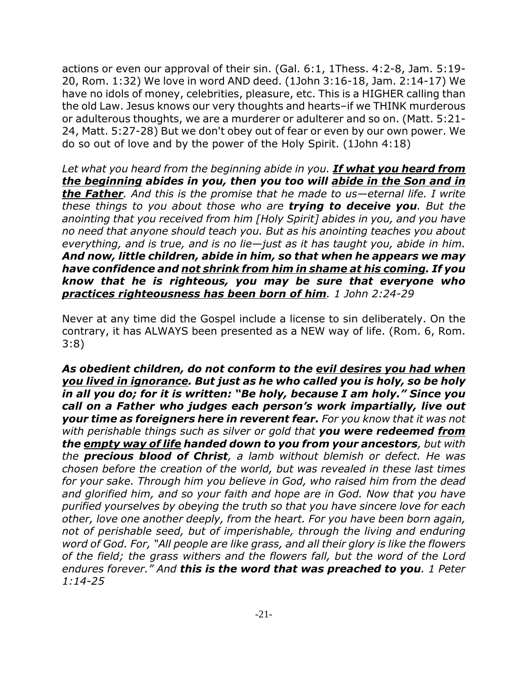actions or even our approval of their sin. (Gal. 6:1, 1Thess. 4:2-8, Jam. 5:19- 20, Rom. 1:32) We love in word AND deed. (1John 3:16-18, Jam. 2:14-17) We have no idols of money, celebrities, pleasure, etc. This is a HIGHER calling than the old Law. Jesus knows our very thoughts and hearts–if we THINK murderous or adulterous thoughts, we are a murderer or adulterer and so on. (Matt. 5:21- 24, Matt. 5:27-28) But we don't obey out of fear or even by our own power. We do so out of love and by the power of the Holy Spirit. (1John 4:18)

*Let what you heard from the beginning abide in you. If what you heard from the beginning abides in you, then you too will abide in the Son and in the Father. And this is the promise that he made to us—eternal life. I write these things to you about those who are trying to deceive you. But the anointing that you received from him [Holy Spirit] abides in you, and you have no need that anyone should teach you. But as his anointing teaches you about everything, and is true, and is no lie—just as it has taught you, abide in him. And now, little children, abide in him, so that when he appears we may have confidence and not shrink from him in shame at his coming. If you know that he is righteous, you may be sure that everyone who practices righteousness has been born of him. 1 John 2:24-29*

Never at any time did the Gospel include a license to sin deliberately. On the contrary, it has ALWAYS been presented as a NEW way of life. (Rom. 6, Rom. 3:8)

*As obedient children, do not conform to the evil desires you had when you lived in ignorance. But just as he who called you is holy, so be holy in all you do; for it is written: "Be holy, because I am holy." Since you call on a Father who judges each person's work impartially, live out your time as foreigners here in reverent fear. For you know that it was not with perishable things such as silver or gold that you were redeemed from the empty way of life handed down to you from your ancestors, but with the precious blood of Christ, a lamb without blemish or defect. He was chosen before the creation of the world, but was revealed in these last times for your sake. Through him you believe in God, who raised him from the dead and glorified him, and so your faith and hope are in God. Now that you have purified yourselves by obeying the truth so that you have sincere love for each other, love one another deeply, from the heart. For you have been born again, not of perishable seed, but of imperishable, through the living and enduring word of God. For, "All people are like grass, and all their glory is like the flowers of the field; the grass withers and the flowers fall, but the word of the Lord endures forever." And this is the word that was preached to you. 1 Peter 1:14-25*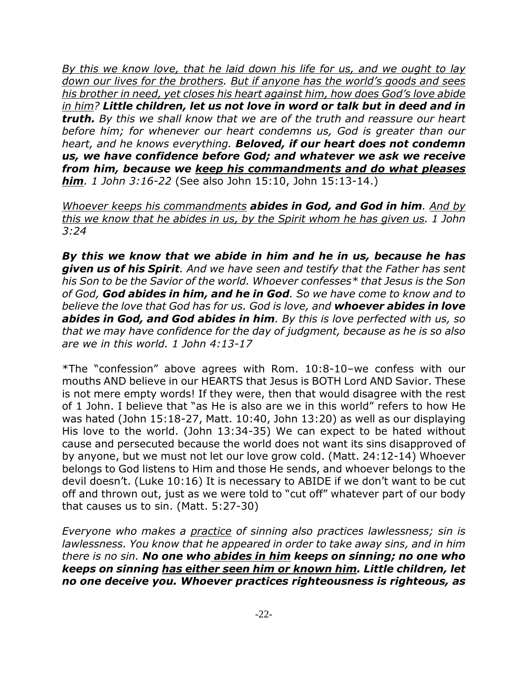*By this we know love, that he laid down his life for us, and we ought to lay down our lives for the brothers. But if anyone has the world's goods and sees his brother in need, yet closes his heart against him, how does God's love abide in him? Little children, let us not love in word or talk but in deed and in truth. By this we shall know that we are of the truth and reassure our heart before him; for whenever our heart condemns us, God is greater than our heart, and he knows everything. Beloved, if our heart does not condemn us, we have confidence before God; and whatever we ask we receive from him, because we keep his commandments and do what pleases him. 1 John 3:16-22* (See also John 15:10, John 15:13-14.)

*Whoever keeps his commandments abides in God, and God in him. And by this we know that he abides in us, by the Spirit whom he has given us. 1 John 3:24*

*By this we know that we abide in him and he in us, because he has given us of his Spirit. And we have seen and testify that the Father has sent his Son to be the Savior of the world. Whoever confesses\* that Jesus is the Son of God, God abides in him, and he in God. So we have come to know and to believe the love that God has for us. God is love, and whoever abides in love abides in God, and God abides in him. By this is love perfected with us, so that we may have confidence for the day of judgment, because as he is so also are we in this world. 1 John 4:13-17*

\*The "confession" above agrees with Rom. 10:8-10–we confess with our mouths AND believe in our HEARTS that Jesus is BOTH Lord AND Savior. These is not mere empty words! If they were, then that would disagree with the rest of 1 John. I believe that "as He is also are we in this world" refers to how He was hated (John 15:18-27, Matt. 10:40, John 13:20) as well as our displaying His love to the world. (John 13:34-35) We can expect to be hated without cause and persecuted because the world does not want its sins disapproved of by anyone, but we must not let our love grow cold. (Matt. 24:12-14) Whoever belongs to God listens to Him and those He sends, and whoever belongs to the devil doesn't. (Luke 10:16) It is necessary to ABIDE if we don't want to be cut off and thrown out, just as we were told to "cut off" whatever part of our body that causes us to sin. (Matt. 5:27-30)

*Everyone who makes a practice of sinning also practices lawlessness; sin is lawlessness. You know that he appeared in order to take away sins, and in him there is no sin. No one who abides in him keeps on sinning; no one who keeps on sinning has either seen him or known him. Little children, let no one deceive you. Whoever practices righteousness is righteous, as*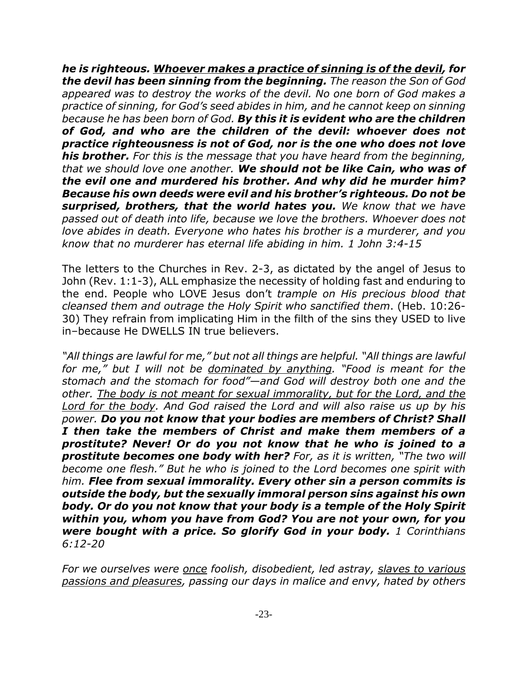*he is righteous. Whoever makes a practice of sinning is of the devil, for the devil has been sinning from the beginning. The reason the Son of God appeared was to destroy the works of the devil. No one born of God makes a practice of sinning, for God's seed abides in him, and he cannot keep on sinning because he has been born of God. By this it is evident who are the children of God, and who are the children of the devil: whoever does not practice righteousness is not of God, nor is the one who does not love his brother. For this is the message that you have heard from the beginning, that we should love one another. We should not be like Cain, who was of the evil one and murdered his brother. And why did he murder him? Because his own deeds were evil and his brother's righteous. Do not be surprised, brothers, that the world hates you. We know that we have passed out of death into life, because we love the brothers. Whoever does not love abides in death. Everyone who hates his brother is a murderer, and you know that no murderer has eternal life abiding in him. 1 John 3:4-15*

The letters to the Churches in Rev. 2-3, as dictated by the angel of Jesus to John (Rev. 1:1-3), ALL emphasize the necessity of holding fast and enduring to the end. People who LOVE Jesus don't *trample on His precious blood that cleansed them and outrage the Holy Spirit who sanctified them*. (Heb. 10:26- 30) They refrain from implicating Him in the filth of the sins they USED to live in–because He DWELLS IN true believers.

*"All things are lawful for me," but not all things are helpful. "All things are lawful for me," but I will not be dominated by anything. "Food is meant for the stomach and the stomach for food"—and God will destroy both one and the other. The body is not meant for sexual immorality, but for the Lord, and the Lord for the body. And God raised the Lord and will also raise us up by his power. Do you not know that your bodies are members of Christ? Shall I then take the members of Christ and make them members of a prostitute? Never! Or do you not know that he who is joined to a prostitute becomes one body with her? For, as it is written, "The two will become one flesh." But he who is joined to the Lord becomes one spirit with him. Flee from sexual immorality. Every other sin a person commits is outside the body, but the sexually immoral person sins against his own body. Or do you not know that your body is a temple of the Holy Spirit within you, whom you have from God? You are not your own, for you were bought with a price. So glorify God in your body. 1 Corinthians 6:12-20*

*For we ourselves were once foolish, disobedient, led astray, slaves to various passions and pleasures, passing our days in malice and envy, hated by others*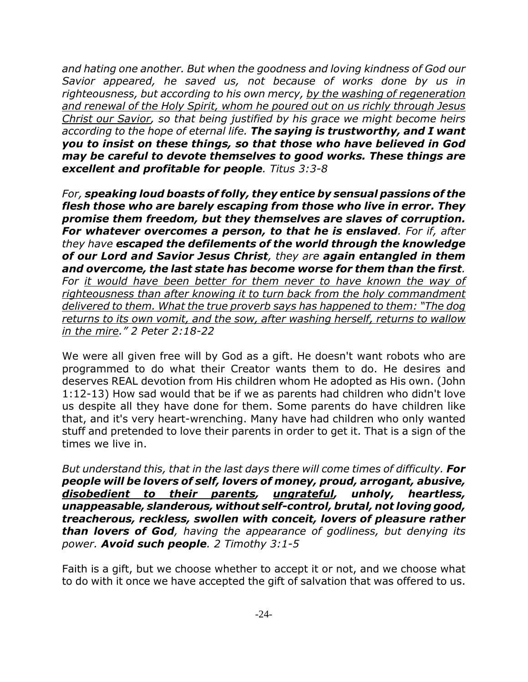*and hating one another. But when the goodness and loving kindness of God our Savior appeared, he saved us, not because of works done by us in righteousness, but according to his own mercy, by the washing of regeneration and renewal of the Holy Spirit, whom he poured out on us richly through Jesus Christ our Savior, so that being justified by his grace we might become heirs according to the hope of eternal life. The saying is trustworthy, and I want you to insist on these things, so that those who have believed in God may be careful to devote themselves to good works. These things are excellent and profitable for people. Titus 3:3-8*

*For, speaking loud boasts of folly, they entice by sensual passions of the flesh those who are barely escaping from those who live in error. They promise them freedom, but they themselves are slaves of corruption. For whatever overcomes a person, to that he is enslaved. For if, after they have escaped the defilements of the world through the knowledge of our Lord and Savior Jesus Christ, they are again entangled in them and overcome, the last state has become worse for them than the first. For it would have been better for them never to have known the way of righteousness than after knowing it to turn back from the holy commandment delivered to them. What the true proverb says has happened to them: "The dog returns to its own vomit, and the sow, after washing herself, returns to wallow in the mire." 2 Peter 2:18-22*

We were all given free will by God as a gift. He doesn't want robots who are programmed to do what their Creator wants them to do. He desires and deserves REAL devotion from His children whom He adopted as His own. (John 1:12-13) How sad would that be if we as parents had children who didn't love us despite all they have done for them. Some parents do have children like that, and it's very heart-wrenching. Many have had children who only wanted stuff and pretended to love their parents in order to get it. That is a sign of the times we live in.

*But understand this, that in the last days there will come times of difficulty. For people will be lovers of self, lovers of money, proud, arrogant, abusive, disobedient to their parents, ungrateful, unholy, heartless, unappeasable, slanderous, without self-control, brutal, not loving good, treacherous, reckless, swollen with conceit, lovers of pleasure rather than lovers of God, having the appearance of godliness, but denying its power. Avoid such people. 2 Timothy 3:1-5*

Faith is a gift, but we choose whether to accept it or not, and we choose what to do with it once we have accepted the gift of salvation that was offered to us.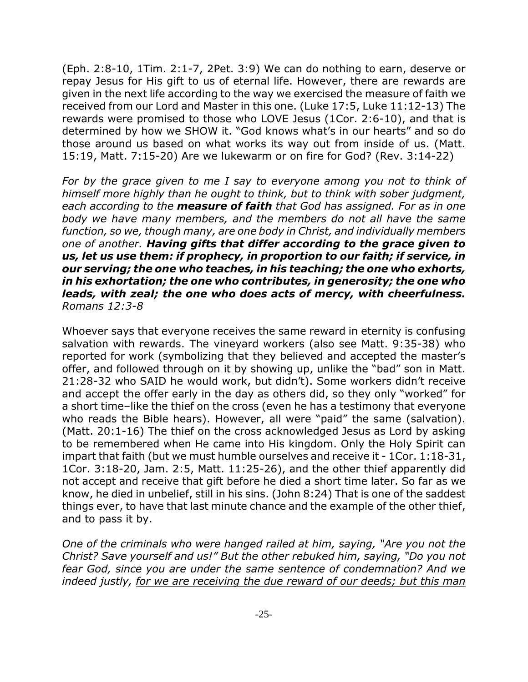(Eph. 2:8-10, 1Tim. 2:1-7, 2Pet. 3:9) We can do nothing to earn, deserve or repay Jesus for His gift to us of eternal life. However, there are rewards are given in the next life according to the way we exercised the measure of faith we received from our Lord and Master in this one. (Luke 17:5, Luke 11:12-13) The rewards were promised to those who LOVE Jesus (1Cor. 2:6-10), and that is determined by how we SHOW it. "God knows what's in our hearts" and so do those around us based on what works its way out from inside of us. (Matt. 15:19, Matt. 7:15-20) Are we lukewarm or on fire for God? (Rev. 3:14-22)

*For by the grace given to me I say to everyone among you not to think of himself more highly than he ought to think, but to think with sober judgment, each according to the measure of faith that God has assigned. For as in one body we have many members, and the members do not all have the same function, so we, though many, are one body in Christ, and individually members one of another. Having gifts that differ according to the grace given to us, let us use them: if prophecy, in proportion to our faith; if service, in our serving; the one who teaches, in his teaching; the one who exhorts, in his exhortation; the one who contributes, in generosity; the one who leads, with zeal; the one who does acts of mercy, with cheerfulness. Romans 12:3-8*

Whoever says that everyone receives the same reward in eternity is confusing salvation with rewards. The vineyard workers (also see Matt. 9:35-38) who reported for work (symbolizing that they believed and accepted the master's offer, and followed through on it by showing up, unlike the "bad" son in Matt. 21:28-32 who SAID he would work, but didn't). Some workers didn't receive and accept the offer early in the day as others did, so they only "worked" for a short time–like the thief on the cross (even he has a testimony that everyone who reads the Bible hears). However, all were "paid" the same (salvation). (Matt. 20:1-16) The thief on the cross acknowledged Jesus as Lord by asking to be remembered when He came into His kingdom. Only the Holy Spirit can impart that faith (but we must humble ourselves and receive it - 1Cor. 1:18-31, 1Cor. 3:18-20, Jam. 2:5, Matt. 11:25-26), and the other thief apparently did not accept and receive that gift before he died a short time later. So far as we know, he died in unbelief, still in his sins. (John 8:24) That is one of the saddest things ever, to have that last minute chance and the example of the other thief, and to pass it by.

*One of the criminals who were hanged railed at him, saying, "Are you not the Christ? Save yourself and us!" But the other rebuked him, saying, "Do you not fear God, since you are under the same sentence of condemnation? And we indeed justly, for we are receiving the due reward of our deeds; but this man*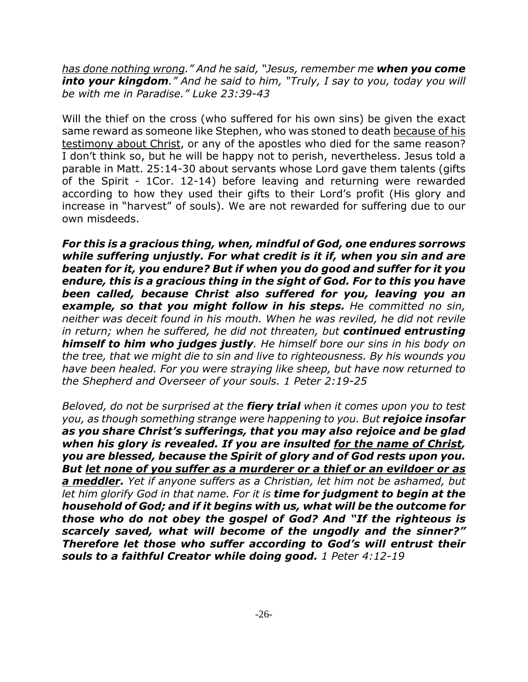*has done nothing wrong." And he said, "Jesus, remember me when you come into your kingdom." And he said to him, "Truly, I say to you, today you will be with me in Paradise." Luke 23:39-43*

Will the thief on the cross (who suffered for his own sins) be given the exact same reward as someone like Stephen, who was stoned to death because of his testimony about Christ, or any of the apostles who died for the same reason? I don't think so, but he will be happy not to perish, nevertheless. Jesus told a parable in Matt. 25:14-30 about servants whose Lord gave them talents (gifts of the Spirit - 1Cor. 12-14) before leaving and returning were rewarded according to how they used their gifts to their Lord's profit (His glory and increase in "harvest" of souls). We are not rewarded for suffering due to our own misdeeds.

*For this is a gracious thing, when, mindful of God, one endures sorrows while suffering unjustly. For what credit is it if, when you sin and are beaten for it, you endure? But if when you do good and suffer for it you endure, this is a gracious thing in the sight of God. For to this you have been called, because Christ also suffered for you, leaving you an example, so that you might follow in his steps. He committed no sin, neither was deceit found in his mouth. When he was reviled, he did not revile in return; when he suffered, he did not threaten, but continued entrusting himself to him who judges justly. He himself bore our sins in his body on the tree, that we might die to sin and live to righteousness. By his wounds you have been healed. For you were straying like sheep, but have now returned to the Shepherd and Overseer of your souls. 1 Peter 2:19-25*

*Beloved, do not be surprised at the fiery trial when it comes upon you to test you, as though something strange were happening to you. But rejoice insofar as you share Christ's sufferings, that you may also rejoice and be glad when his glory is revealed. If you are insulted for the name of Christ, you are blessed, because the Spirit of glory and of God rests upon you. But let none of you suffer as a murderer or a thief or an evildoer or as a meddler. Yet if anyone suffers as a Christian, let him not be ashamed, but let him glorify God in that name. For it is time for judgment to begin at the household of God; and if it begins with us, what will be the outcome for those who do not obey the gospel of God? And "If the righteous is scarcely saved, what will become of the ungodly and the sinner?" Therefore let those who suffer according to God's will entrust their souls to a faithful Creator while doing good. 1 Peter 4:12-19*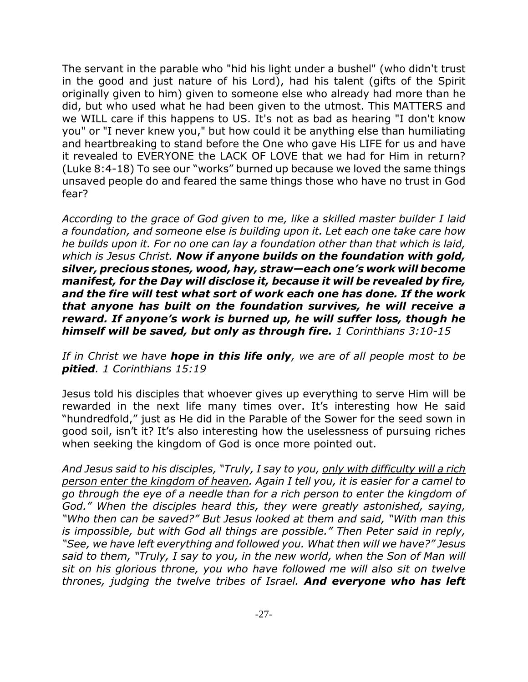The servant in the parable who "hid his light under a bushel" (who didn't trust in the good and just nature of his Lord), had his talent (gifts of the Spirit originally given to him) given to someone else who already had more than he did, but who used what he had been given to the utmost. This MATTERS and we WILL care if this happens to US. It's not as bad as hearing "I don't know you" or "I never knew you," but how could it be anything else than humiliating and heartbreaking to stand before the One who gave His LIFE for us and have it revealed to EVERYONE the LACK OF LOVE that we had for Him in return? (Luke 8:4-18) To see our "works" burned up because we loved the same things unsaved people do and feared the same things those who have no trust in God fear?

*According to the grace of God given to me, like a skilled master builder I laid a foundation, and someone else is building upon it. Let each one take care how he builds upon it. For no one can lay a foundation other than that which is laid, which is Jesus Christ. Now if anyone builds on the foundation with gold, silver, precious stones, wood, hay, straw—each one's work will become manifest, for the Day will disclose it, because it will be revealed by fire, and the fire will test what sort of work each one has done. If the work that anyone has built on the foundation survives, he will receive a reward. If anyone's work is burned up, he will suffer loss, though he himself will be saved, but only as through fire. 1 Corinthians 3:10-15*

# *If in Christ we have hope in this life only, we are of all people most to be pitied. 1 Corinthians 15:19*

Jesus told his disciples that whoever gives up everything to serve Him will be rewarded in the next life many times over. It's interesting how He said "hundredfold," just as He did in the Parable of the Sower for the seed sown in good soil, isn't it? It's also interesting how the uselessness of pursuing riches when seeking the kingdom of God is once more pointed out.

*And Jesus said to his disciples, "Truly, I say to you, only with difficulty will a rich person enter the kingdom of heaven. Again I tell you, it is easier for a camel to go through the eye of a needle than for a rich person to enter the kingdom of God." When the disciples heard this, they were greatly astonished, saying, "Who then can be saved?" But Jesus looked at them and said, "With man this is impossible, but with God all things are possible." Then Peter said in reply, "See, we have left everything and followed you. What then will we have?" Jesus said to them, "Truly, I say to you, in the new world, when the Son of Man will sit on his glorious throne, you who have followed me will also sit on twelve thrones, judging the twelve tribes of Israel. And everyone who has left*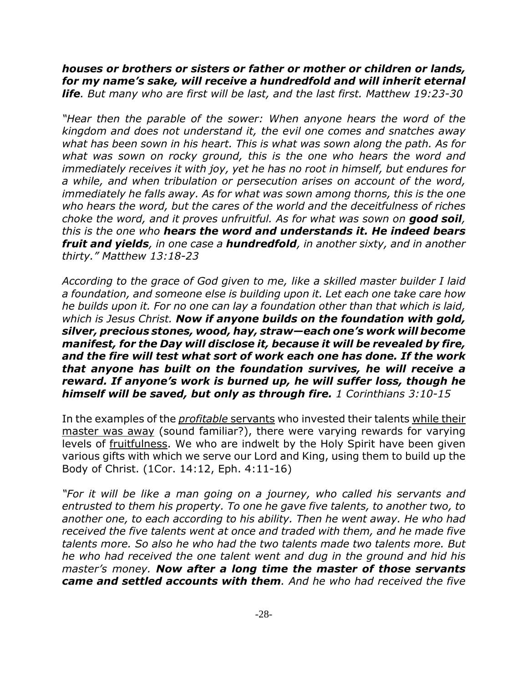*houses or brothers or sisters or father or mother or children or lands, for my name's sake, will receive a hundredfold and will inherit eternal life. But many who are first will be last, and the last first. Matthew 19:23-30*

*"Hear then the parable of the sower: When anyone hears the word of the kingdom and does not understand it, the evil one comes and snatches away what has been sown in his heart. This is what was sown along the path. As for what was sown on rocky ground, this is the one who hears the word and immediately receives it with joy, yet he has no root in himself, but endures for a while, and when tribulation or persecution arises on account of the word, immediately he falls away. As for what was sown among thorns, this is the one who hears the word, but the cares of the world and the deceitfulness of riches choke the word, and it proves unfruitful. As for what was sown on good soil, this is the one who hears the word and understands it. He indeed bears fruit and yields, in one case a hundredfold, in another sixty, and in another thirty." Matthew 13:18-23*

*According to the grace of God given to me, like a skilled master builder I laid a foundation, and someone else is building upon it. Let each one take care how he builds upon it. For no one can lay a foundation other than that which is laid, which is Jesus Christ. Now if anyone builds on the foundation with gold, silver, precious stones, wood, hay, straw—each one's work will become manifest, for the Day will disclose it, because it will be revealed by fire, and the fire will test what sort of work each one has done. If the work that anyone has built on the foundation survives, he will receive a reward. If anyone's work is burned up, he will suffer loss, though he himself will be saved, but only as through fire. 1 Corinthians 3:10-15*

In the examples of the *profitable* servants who invested their talents while their master was away (sound familiar?), there were varying rewards for varying levels of fruitfulness. We who are indwelt by the Holy Spirit have been given various gifts with which we serve our Lord and King, using them to build up the Body of Christ. (1Cor. 14:12, Eph. 4:11-16)

*"For it will be like a man going on a journey, who called his servants and entrusted to them his property. To one he gave five talents, to another two, to another one, to each according to his ability. Then he went away. He who had received the five talents went at once and traded with them, and he made five talents more. So also he who had the two talents made two talents more. But he who had received the one talent went and dug in the ground and hid his master's money. Now after a long time the master of those servants came and settled accounts with them. And he who had received the five*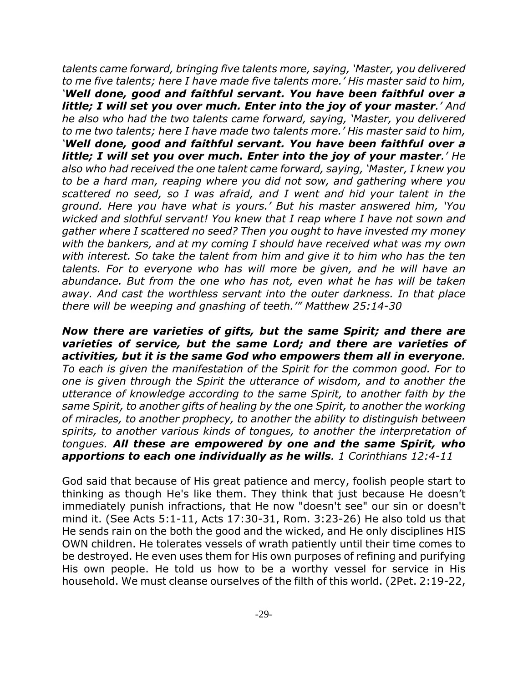*talents came forward, bringing five talents more, saying, 'Master, you delivered to me five talents; here I have made five talents more.' His master said to him, 'Well done, good and faithful servant. You have been faithful over a little; I will set you over much. Enter into the joy of your master.' And he also who had the two talents came forward, saying, 'Master, you delivered to me two talents; here I have made two talents more.' His master said to him, 'Well done, good and faithful servant. You have been faithful over a little; I will set you over much. Enter into the joy of your master.' He also who had received the one talent came forward, saying, 'Master, I knew you to be a hard man, reaping where you did not sow, and gathering where you scattered no seed, so I was afraid, and I went and hid your talent in the ground. Here you have what is yours.' But his master answered him, 'You wicked and slothful servant! You knew that I reap where I have not sown and gather where I scattered no seed? Then you ought to have invested my money with the bankers, and at my coming I should have received what was my own with interest. So take the talent from him and give it to him who has the ten talents. For to everyone who has will more be given, and he will have an abundance. But from the one who has not, even what he has will be taken away. And cast the worthless servant into the outer darkness. In that place there will be weeping and gnashing of teeth.'" Matthew 25:14-30*

*Now there are varieties of gifts, but the same Spirit; and there are varieties of service, but the same Lord; and there are varieties of activities, but it is the same God who empowers them all in everyone. To each is given the manifestation of the Spirit for the common good. For to one is given through the Spirit the utterance of wisdom, and to another the utterance of knowledge according to the same Spirit, to another faith by the same Spirit, to another gifts of healing by the one Spirit, to another the working of miracles, to another prophecy, to another the ability to distinguish between spirits, to another various kinds of tongues, to another the interpretation of tongues. All these are empowered by one and the same Spirit, who apportions to each one individually as he wills. 1 Corinthians 12:4-11*

God said that because of His great patience and mercy, foolish people start to thinking as though He's like them. They think that just because He doesn't immediately punish infractions, that He now "doesn't see" our sin or doesn't mind it. (See Acts 5:1-11, Acts 17:30-31, Rom. 3:23-26) He also told us that He sends rain on the both the good and the wicked, and He only disciplines HIS OWN children. He tolerates vessels of wrath patiently until their time comes to be destroyed. He even uses them for His own purposes of refining and purifying His own people. He told us how to be a worthy vessel for service in His household. We must cleanse ourselves of the filth of this world. (2Pet. 2:19-22,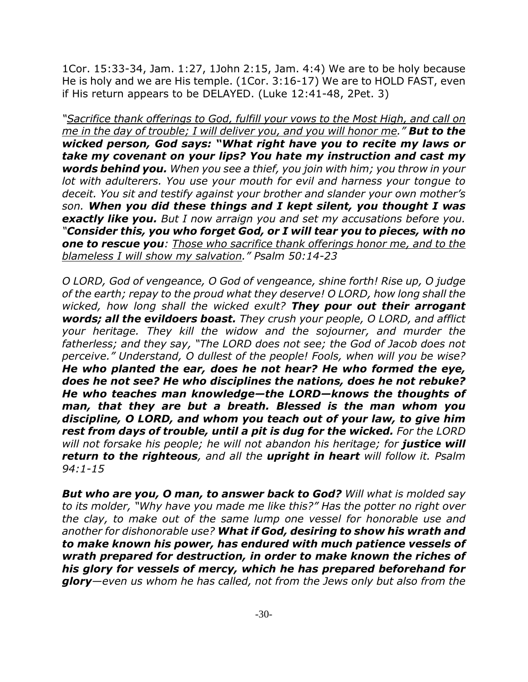1Cor. 15:33-34, Jam. 1:27, 1John 2:15, Jam. 4:4) We are to be holy because He is holy and we are His temple. (1Cor. 3:16-17) We are to HOLD FAST, even if His return appears to be DELAYED. (Luke 12:41-48, 2Pet. 3)

*"Sacrifice thank offerings to God, fulfill your vows to the Most High, and call on me in the day of trouble; I will deliver you, and you will honor me." But to the wicked person, God says: "What right have you to recite my laws or take my covenant on your lips? You hate my instruction and cast my words behind you. When you see a thief, you join with him; you throw in your lot with adulterers. You use your mouth for evil and harness your tongue to deceit. You sit and testify against your brother and slander your own mother's son. When you did these things and I kept silent, you thought I was exactly like you. But I now arraign you and set my accusations before you. "Consider this, you who forget God, or I will tear you to pieces, with no one to rescue you: Those who sacrifice thank offerings honor me, and to the blameless I will show my salvation." Psalm 50:14-23*

*O LORD, God of vengeance, O God of vengeance, shine forth! Rise up, O judge of the earth; repay to the proud what they deserve! O LORD, how long shall the wicked, how long shall the wicked exult? They pour out their arrogant words; all the evildoers boast. They crush your people, O LORD, and afflict your heritage. They kill the widow and the sojourner, and murder the fatherless; and they say, "The LORD does not see; the God of Jacob does not perceive." Understand, O dullest of the people! Fools, when will you be wise? He who planted the ear, does he not hear? He who formed the eye, does he not see? He who disciplines the nations, does he not rebuke? He who teaches man knowledge—the LORD—knows the thoughts of man, that they are but a breath. Blessed is the man whom you discipline, O LORD, and whom you teach out of your law, to give him rest from days of trouble, until a pit is dug for the wicked. For the LORD will not forsake his people; he will not abandon his heritage; for justice will return to the righteous, and all the upright in heart will follow it. Psalm 94:1-15*

*But who are you, O man, to answer back to God? Will what is molded say to its molder, "Why have you made me like this?" Has the potter no right over the clay, to make out of the same lump one vessel for honorable use and another for dishonorable use? What if God, desiring to show his wrath and to make known his power, has endured with much patience vessels of wrath prepared for destruction, in order to make known the riches of his glory for vessels of mercy, which he has prepared beforehand for glory—even us whom he has called, not from the Jews only but also from the*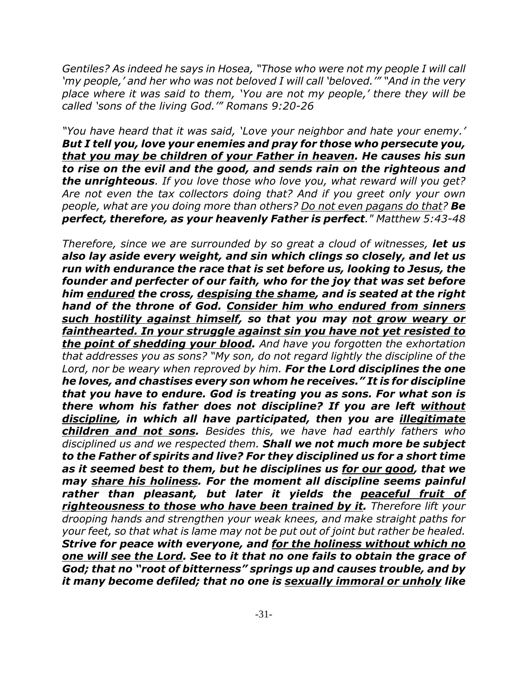*Gentiles? As indeed he says in Hosea, "Those who were not my people I will call 'my people,' and her who was not beloved I will call 'beloved.'" "And in the very place where it was said to them, 'You are not my people,' there they will be called 'sons of the living God.'" Romans 9:20-26*

*"You have heard that it was said, 'Love your neighbor and hate your enemy.' But I tell you, love your enemies and pray for those who persecute you, that you may be children of your Father in heaven. He causes his sun to rise on the evil and the good, and sends rain on the righteous and the unrighteous. If you love those who love you, what reward will you get? Are not even the tax collectors doing that? And if you greet only your own people, what are you doing more than others? Do not even pagans do that? Be perfect, therefore, as your heavenly Father is perfect." Matthew 5:43-48*

*Therefore, since we are surrounded by so great a cloud of witnesses, let us also lay aside every weight, and sin which clings so closely, and let us run with endurance the race that is set before us, looking to Jesus, the founder and perfecter of our faith, who for the joy that was set before him endured the cross, despising the shame, and is seated at the right hand of the throne of God. Consider him who endured from sinners such hostility against himself, so that you may not grow weary or fainthearted. In your struggle against sin you have not yet resisted to the point of shedding your blood. And have you forgotten the exhortation that addresses you as sons? "My son, do not regard lightly the discipline of the Lord, nor be weary when reproved by him. For the Lord disciplines the one he loves, and chastises every son whom he receives." It is for discipline that you have to endure. God is treating you as sons. For what son is there whom his father does not discipline? If you are left without discipline, in which all have participated, then you are illegitimate children and not sons. Besides this, we have had earthly fathers who disciplined us and we respected them. Shall we not much more be subject to the Father of spirits and live? For they disciplined us for a short time as it seemed best to them, but he disciplines us for our good, that we may share his holiness. For the moment all discipline seems painful rather than pleasant, but later it yields the peaceful fruit of righteousness to those who have been trained by it. Therefore lift your drooping hands and strengthen your weak knees, and make straight paths for your feet, so that what is lame may not be put out of joint but rather be healed. Strive for peace with everyone, and for the holiness without which no one will see the Lord. See to it that no one fails to obtain the grace of God; that no "root of bitterness" springs up and causes trouble, and by it many become defiled; that no one is sexually immoral or unholy like*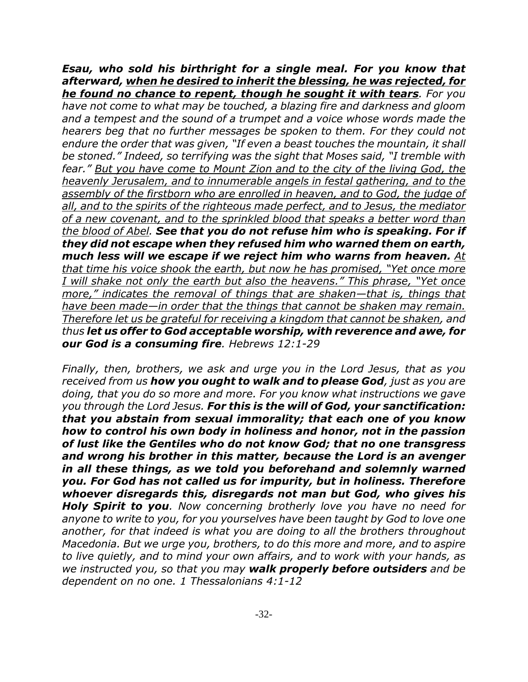*Esau, who sold his birthright for a single meal. For you know that afterward, when he desired to inherit the blessing, he was rejected, for he found no chance to repent, though he sought it with tears. For you have not come to what may be touched, a blazing fire and darkness and gloom and a tempest and the sound of a trumpet and a voice whose words made the hearers beg that no further messages be spoken to them. For they could not endure the order that was given, "If even a beast touches the mountain, it shall be stoned." Indeed, so terrifying was the sight that Moses said, "I tremble with fear." But you have come to Mount Zion and to the city of the living God, the heavenly Jerusalem, and to innumerable angels in festal gathering, and to the assembly of the firstborn who are enrolled in heaven, and to God, the judge of all, and to the spirits of the righteous made perfect, and to Jesus, the mediator of a new covenant, and to the sprinkled blood that speaks a better word than the blood of Abel. See that you do not refuse him who is speaking. For if they did not escape when they refused him who warned them on earth, much less will we escape if we reject him who warns from heaven. At that time his voice shook the earth, but now he has promised, "Yet once more I will shake not only the earth but also the heavens." This phrase, "Yet once more," indicates the removal of things that are shaken—that is, things that have been made—in order that the things that cannot be shaken may remain. Therefore let us be grateful for receiving a kingdom that cannot be shaken, and thus let us offer to God acceptable worship, with reverence and awe, for our God is a consuming fire. Hebrews 12:1-29*

*Finally, then, brothers, we ask and urge you in the Lord Jesus, that as you received from us how you ought to walk and to please God, just as you are doing, that you do so more and more. For you know what instructions we gave you through the Lord Jesus. For this is the will of God, your sanctification: that you abstain from sexual immorality; that each one of you know how to control his own body in holiness and honor, not in the passion of lust like the Gentiles who do not know God; that no one transgress and wrong his brother in this matter, because the Lord is an avenger in all these things, as we told you beforehand and solemnly warned you. For God has not called us for impurity, but in holiness. Therefore whoever disregards this, disregards not man but God, who gives his Holy Spirit to you. Now concerning brotherly love you have no need for anyone to write to you, for you yourselves have been taught by God to love one another, for that indeed is what you are doing to all the brothers throughout Macedonia. But we urge you, brothers, to do this more and more, and to aspire to live quietly, and to mind your own affairs, and to work with your hands, as we instructed you, so that you may walk properly before outsiders and be dependent on no one. 1 Thessalonians 4:1-12*